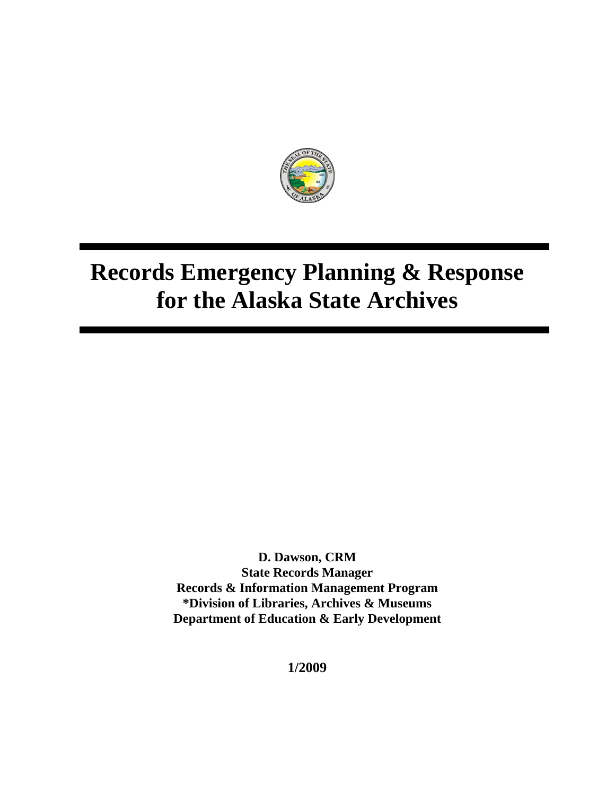

**D. Dawson, CRM State Records Manager Records & Information Management Program \*Division of Libraries, Archives & Museums Department of Education & Early Development**

**1/2009**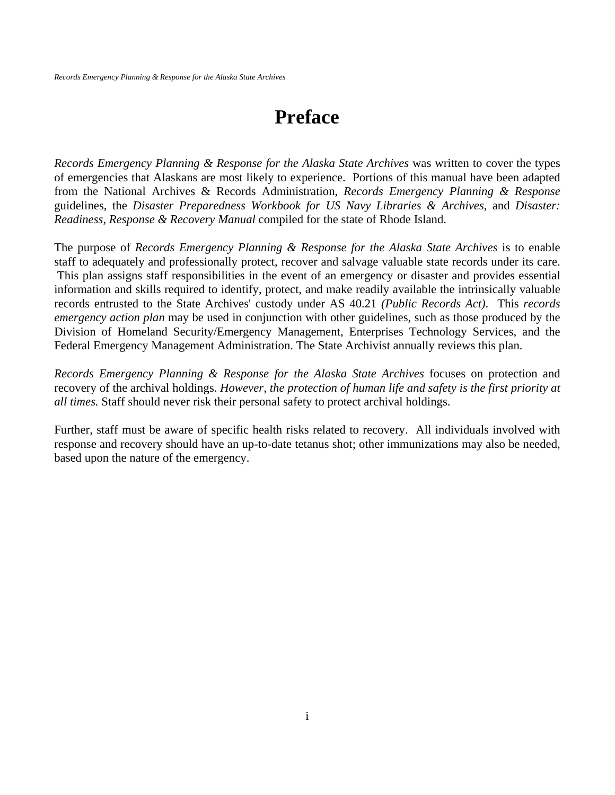## **Preface**

*Records Emergency Planning & Response for the Alaska State Archives* was written to cover the types of emergencies that Alaskans are most likely to experience. Portions of this manual have been adapted from the National Archives & Records Administration, *Records Emergency Planning & Response*  guidelines, the *Disaster Preparedness Workbook for US Navy Libraries & Archives*, and *Disaster: Readiness, Response & Recovery Manual* compiled for the state of Rhode Island.

The purpose of *Records Emergency Planning & Response for the Alaska State Archives* is to enable staff to adequately and professionally protect, recover and salvage valuable state records under its care. This plan assigns staff responsibilities in the event of an emergency or disaster and provides essential information and skills required to identify, protect, and make readily available the intrinsically valuable records entrusted to the State Archives' custody under AS 40.21 *(Public Records Act)*. This *records emergency action plan* may be used in conjunction with other guidelines, such as those produced by the Division of Homeland Security/Emergency Management, Enterprises Technology Services, and the Federal Emergency Management Administration. The State Archivist annually reviews this plan.

*Records Emergency Planning & Response for the Alaska State Archives* focuses on protection and recovery of the archival holdings. *However, the protection of human life and safety is the first priority at all times.* Staff should never risk their personal safety to protect archival holdings.

Further, staff must be aware of specific health risks related to recovery. All individuals involved with response and recovery should have an up-to-date tetanus shot; other immunizations may also be needed, based upon the nature of the emergency.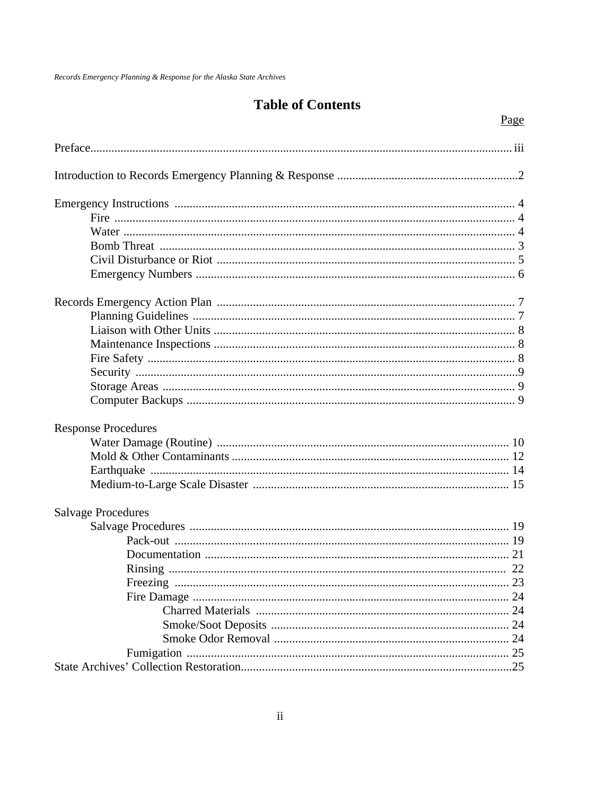### **Table of Contents**

Page

| <b>Response Procedures</b> |  |
|----------------------------|--|
|                            |  |
|                            |  |
|                            |  |
|                            |  |
| <b>Salvage Procedures</b>  |  |
|                            |  |
|                            |  |
|                            |  |
|                            |  |
|                            |  |
|                            |  |
|                            |  |
|                            |  |
|                            |  |
|                            |  |
|                            |  |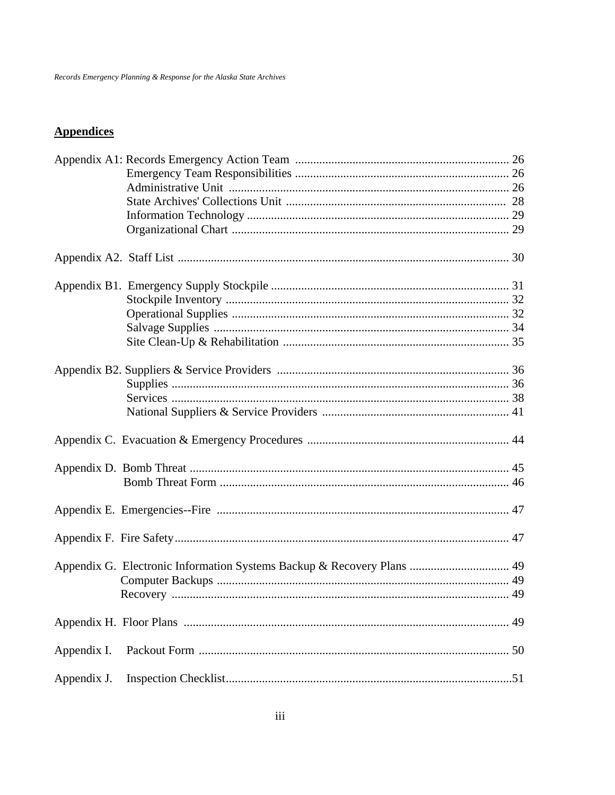### **Appendices**

|             | Appendix G. Electronic Information Systems Backup & Recovery Plans  49 |  |
|-------------|------------------------------------------------------------------------|--|
|             |                                                                        |  |
|             |                                                                        |  |
|             |                                                                        |  |
| Appendix I. |                                                                        |  |
| Appendix J. |                                                                        |  |
|             |                                                                        |  |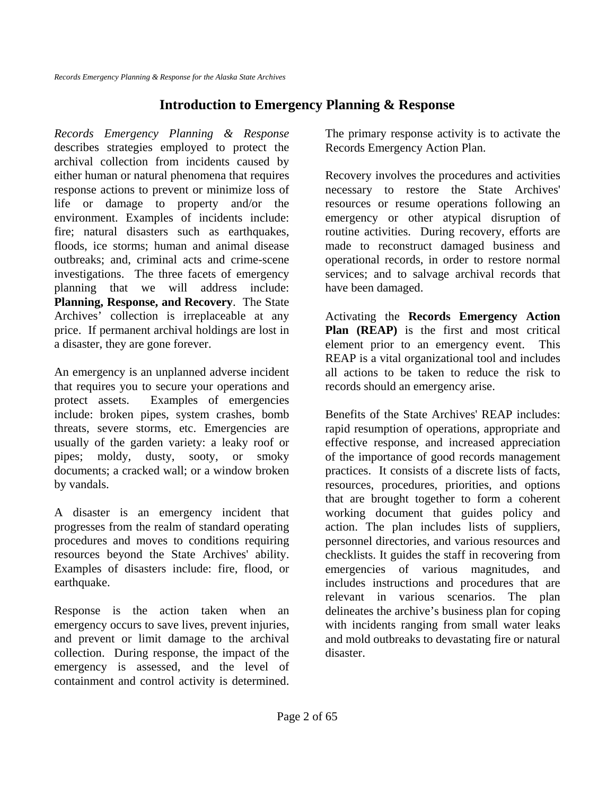### **Introduction to Emergency Planning & Response**

*Records Emergency Planning & Response* describes strategies employed to protect the archival collection from incidents caused by either human or natural phenomena that requires response actions to prevent or minimize loss of life or damage to property and/or the environment. Examples of incidents include: fire; natural disasters such as earthquakes, floods, ice storms; human and animal disease outbreaks; and, criminal acts and crime-scene investigations. The three facets of emergency planning that we will address include: **Planning, Response, and Recovery**. The State Archives' collection is irreplaceable at any price. If permanent archival holdings are lost in a disaster, they are gone forever.

An emergency is an unplanned adverse incident that requires you to secure your operations and protect assets. Examples of emergencies include: broken pipes, system crashes, bomb threats, severe storms, etc. Emergencies are usually of the garden variety: a leaky roof or pipes; moldy, dusty, sooty, or smoky documents; a cracked wall; or a window broken by vandals.

A disaster is an emergency incident that progresses from the realm of standard operating procedures and moves to conditions requiring resources beyond the State Archives' ability. Examples of disasters include: fire, flood, or earthquake.

Response is the action taken when an emergency occurs to save lives, prevent injuries, and prevent or limit damage to the archival collection. During response, the impact of the emergency is assessed, and the level of containment and control activity is determined.

The primary response activity is to activate the Records Emergency Action Plan.

Recovery involves the procedures and activities necessary to restore the State Archives' resources or resume operations following an emergency or other atypical disruption of routine activities. During recovery, efforts are made to reconstruct damaged business and operational records, in order to restore normal services; and to salvage archival records that have been damaged.

Activating the **Records Emergency Action Plan (REAP)** is the first and most critical element prior to an emergency event. This REAP is a vital organizational tool and includes all actions to be taken to reduce the risk to records should an emergency arise.

Benefits of the State Archives' REAP includes: rapid resumption of operations, appropriate and effective response, and increased appreciation of the importance of good records management practices. It consists of a discrete lists of facts, resources, procedures, priorities, and options that are brought together to form a coherent working document that guides policy and action. The plan includes lists of suppliers, personnel directories, and various resources and checklists. It guides the staff in recovering from emergencies of various magnitudes, and includes instructions and procedures that are relevant in various scenarios. The plan delineates the archive's business plan for coping with incidents ranging from small water leaks and mold outbreaks to devastating fire or natural disaster.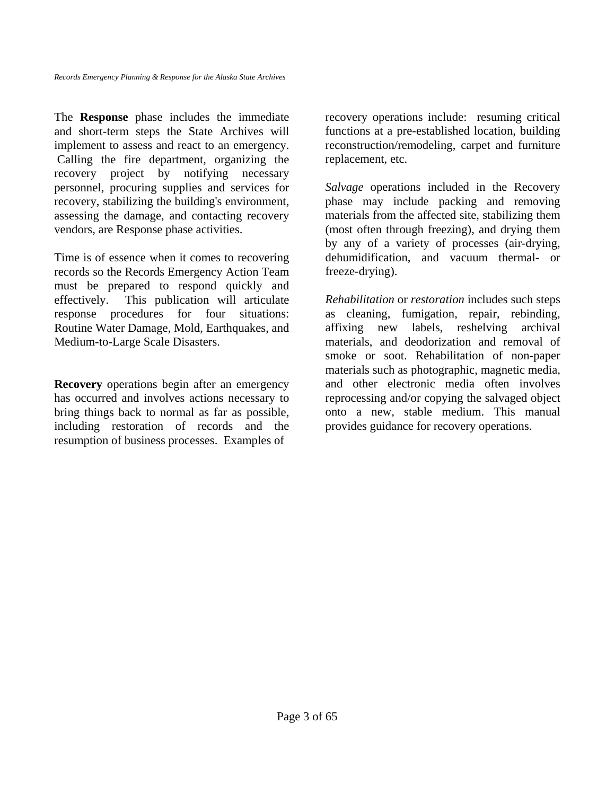The **Response** phase includes the immediate and short-term steps the State Archives will implement to assess and react to an emergency. Calling the fire department, organizing the recovery project by notifying necessary personnel, procuring supplies and services for recovery, stabilizing the building's environment, assessing the damage, and contacting recovery vendors, are Response phase activities.

Time is of essence when it comes to recovering records so the Records Emergency Action Team must be prepared to respond quickly and effectively. This publication will articulate response procedures for four situations: Routine Water Damage, Mold, Earthquakes, and Medium-to-Large Scale Disasters.

**Recovery** operations begin after an emergency has occurred and involves actions necessary to bring things back to normal as far as possible, including restoration of records and the resumption of business processes. Examples of

recovery operations include: resuming critical functions at a pre-established location, building reconstruction/remodeling, carpet and furniture replacement, etc.

*Salvage* operations included in the Recovery phase may include packing and removing materials from the affected site, stabilizing them (most often through freezing), and drying them by any of a variety of processes (air-drying, dehumidification, and vacuum thermal- or freeze-drying).

*Rehabilitation* or *restoration* includes such steps as cleaning, fumigation, repair, rebinding, affixing new labels, reshelving archival materials, and deodorization and removal of smoke or soot. Rehabilitation of non-paper materials such as photographic, magnetic media, and other electronic media often involves reprocessing and/or copying the salvaged object onto a new, stable medium. This manual provides guidance for recovery operations.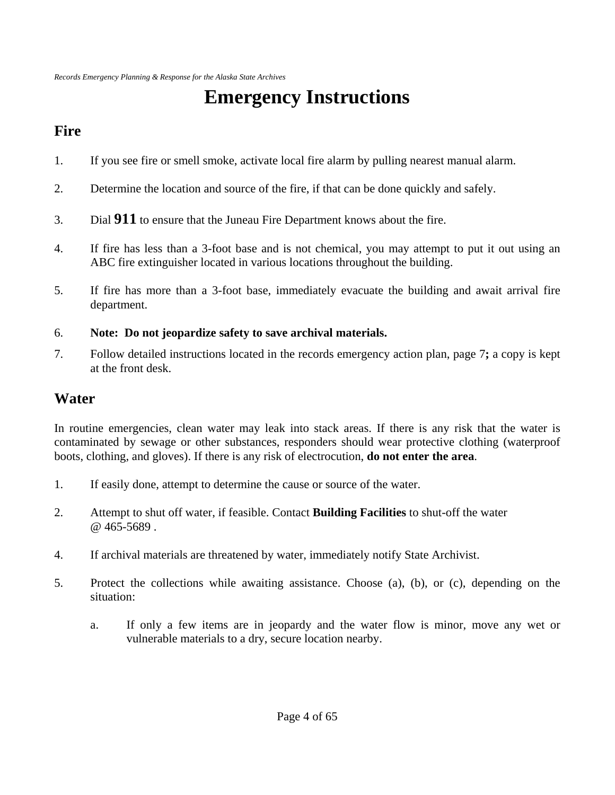# **Emergency Instructions**

## **Fire**

- 1. If you see fire or smell smoke, activate local fire alarm by pulling nearest manual alarm.
- 2. Determine the location and source of the fire, if that can be done quickly and safely.
- 3. Dial **911** to ensure that the Juneau Fire Department knows about the fire.
- 4. If fire has less than a 3-foot base and is not chemical, you may attempt to put it out using an ABC fire extinguisher located in various locations throughout the building.
- 5. If fire has more than a 3-foot base, immediately evacuate the building and await arrival fire department.

### 6. **Note: Do not jeopardize safety to save archival materials.**

7. Follow detailed instructions located in the records emergency action plan, page 7**;** a copy is kept at the front desk.

### **Water**

In routine emergencies, clean water may leak into stack areas. If there is any risk that the water is contaminated by sewage or other substances, responders should wear protective clothing (waterproof boots, clothing, and gloves). If there is any risk of electrocution, **do not enter the area**.

- 1. If easily done, attempt to determine the cause or source of the water.
- 2. Attempt to shut off water, if feasible. Contact **Building Facilities** to shut-off the water @ 465-5689 .
- 4. If archival materials are threatened by water, immediately notify State Archivist.
- 5. Protect the collections while awaiting assistance. Choose (a), (b), or (c), depending on the situation:
	- a. If only a few items are in jeopardy and the water flow is minor, move any wet or vulnerable materials to a dry, secure location nearby.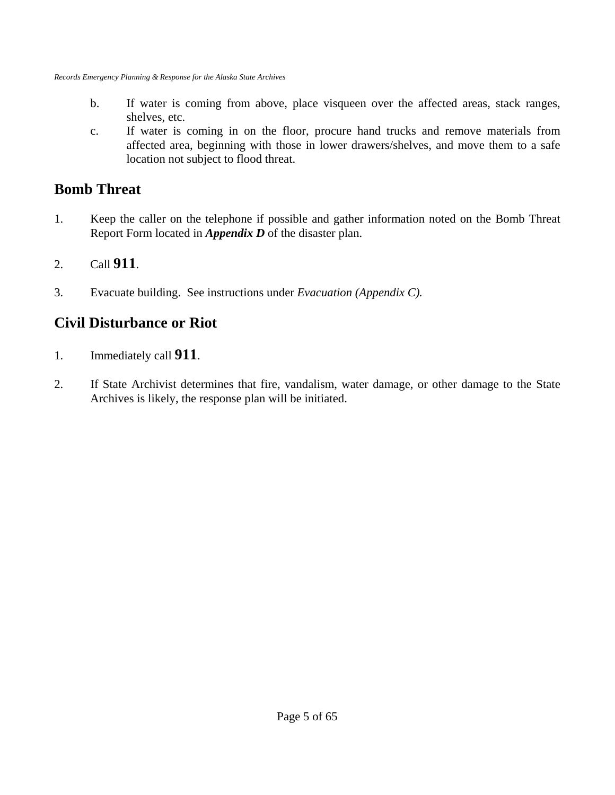- b. If water is coming from above, place visqueen over the affected areas, stack ranges, shelves, etc.
- c. If water is coming in on the floor, procure hand trucks and remove materials from affected area, beginning with those in lower drawers/shelves, and move them to a safe location not subject to flood threat.

### **Bomb Threat**

- 1. Keep the caller on the telephone if possible and gather information noted on the Bomb Threat Report Form located in *Appendix D* of the disaster plan.
- 2. Call **911**.
- 3. Evacuate building. See instructions under *Evacuation (Appendix C).*

### **Civil Disturbance or Riot**

- 1. Immediately call **911**.
- 2. If State Archivist determines that fire, vandalism, water damage, or other damage to the State Archives is likely, the response plan will be initiated.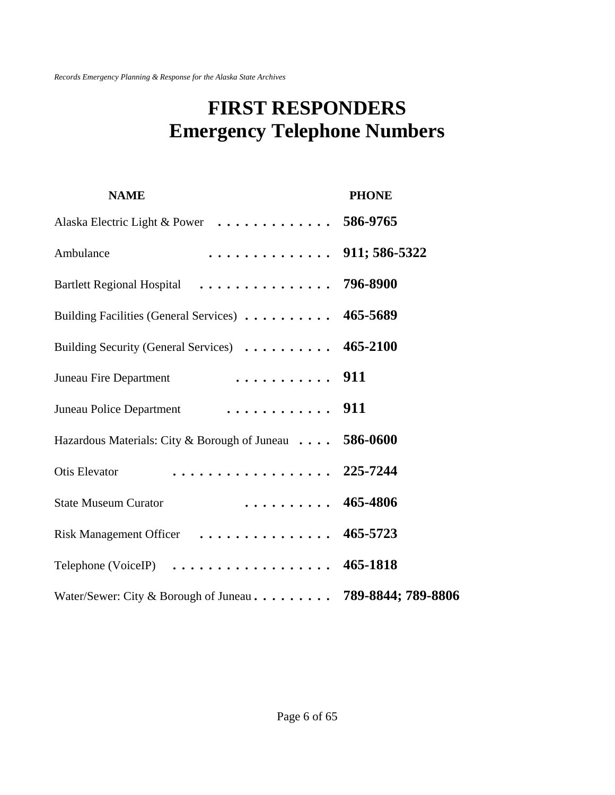## **FIRST RESPONDERS Emergency Telephone Numbers**

| <b>NAME</b>                                                              | <b>PHONE</b> |
|--------------------------------------------------------------------------|--------------|
| Alaska Electric Light & Power 586-9765                                   |              |
| . 911; 586-5322<br>Ambulance                                             |              |
| Bartlett Regional Hospital  796-8900                                     |              |
| Building Facilities (General Services) 465-5689                          |              |
| Building Security (General Services) 465-2100                            |              |
|                                                                          |              |
|                                                                          |              |
| Hazardous Materials: City & Borough of Juneau 586-0600                   |              |
| Otis Elevator  225-7244                                                  |              |
| $\ldots \ldots \ldots 465-4806$<br><b>State Museum Curator</b>           |              |
| Risk Management Officer  465-5723                                        |              |
| Telephone (VoiceIP) $\dots \dots \dots \dots \dots \dots \dots$ 465-1818 |              |
| Water/Sewer: City & Borough of Juneau 789-8844; 789-8806                 |              |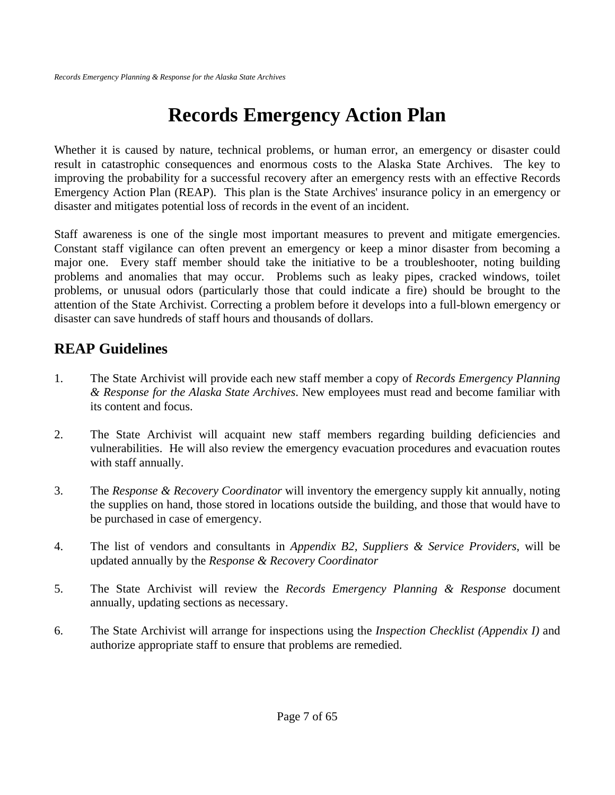# **Records Emergency Action Plan**

Whether it is caused by nature, technical problems, or human error, an emergency or disaster could result in catastrophic consequences and enormous costs to the Alaska State Archives. The key to improving the probability for a successful recovery after an emergency rests with an effective Records Emergency Action Plan (REAP). This plan is the State Archives' insurance policy in an emergency or disaster and mitigates potential loss of records in the event of an incident.

Staff awareness is one of the single most important measures to prevent and mitigate emergencies. Constant staff vigilance can often prevent an emergency or keep a minor disaster from becoming a major one. Every staff member should take the initiative to be a troubleshooter, noting building problems and anomalies that may occur. Problems such as leaky pipes, cracked windows, toilet problems, or unusual odors (particularly those that could indicate a fire) should be brought to the attention of the State Archivist. Correcting a problem before it develops into a full-blown emergency or disaster can save hundreds of staff hours and thousands of dollars.

### **REAP Guidelines**

- 1. The State Archivist will provide each new staff member a copy of *Records Emergency Planning & Response for the Alaska State Archives*. New employees must read and become familiar with its content and focus.
- 2. The State Archivist will acquaint new staff members regarding building deficiencies and vulnerabilities. He will also review the emergency evacuation procedures and evacuation routes with staff annually.
- 3. The *Response & Recovery Coordinator* will inventory the emergency supply kit annually, noting the supplies on hand, those stored in locations outside the building, and those that would have to be purchased in case of emergency.
- 4. The list of vendors and consultants in *Appendix B2, Suppliers & Service Providers*, will be updated annually by the *Response & Recovery Coordinator*
- 5. The State Archivist will review the *Records Emergency Planning & Response* document annually, updating sections as necessary.
- 6. The State Archivist will arrange for inspections using the *Inspection Checklist (Appendix I)* and authorize appropriate staff to ensure that problems are remedied.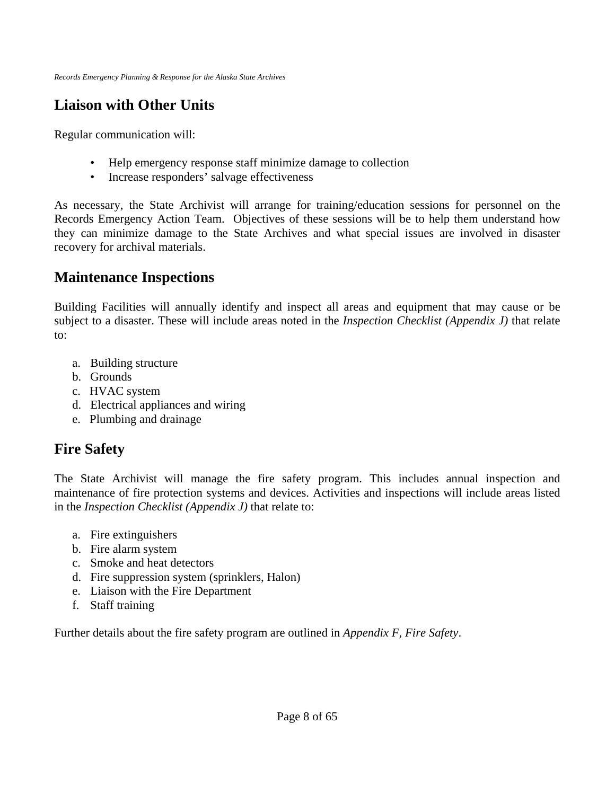## **Liaison with Other Units**

Regular communication will:

- Help emergency response staff minimize damage to collection
- Increase responders' salvage effectiveness

As necessary, the State Archivist will arrange for training/education sessions for personnel on the Records Emergency Action Team. Objectives of these sessions will be to help them understand how they can minimize damage to the State Archives and what special issues are involved in disaster recovery for archival materials.

### **Maintenance Inspections**

Building Facilities will annually identify and inspect all areas and equipment that may cause or be subject to a disaster. These will include areas noted in the *Inspection Checklist (Appendix J)* that relate to:

- a. Building structure
- b. Grounds
- c. HVAC system
- d. Electrical appliances and wiring
- e. Plumbing and drainage

## **Fire Safety**

The State Archivist will manage the fire safety program. This includes annual inspection and maintenance of fire protection systems and devices. Activities and inspections will include areas listed in the *Inspection Checklist (Appendix J)* that relate to:

- a. Fire extinguishers
- b. Fire alarm system
- c. Smoke and heat detectors
- d. Fire suppression system (sprinklers, Halon)
- e. Liaison with the Fire Department
- f. Staff training

Further details about the fire safety program are outlined in *Appendix F, Fire Safety*.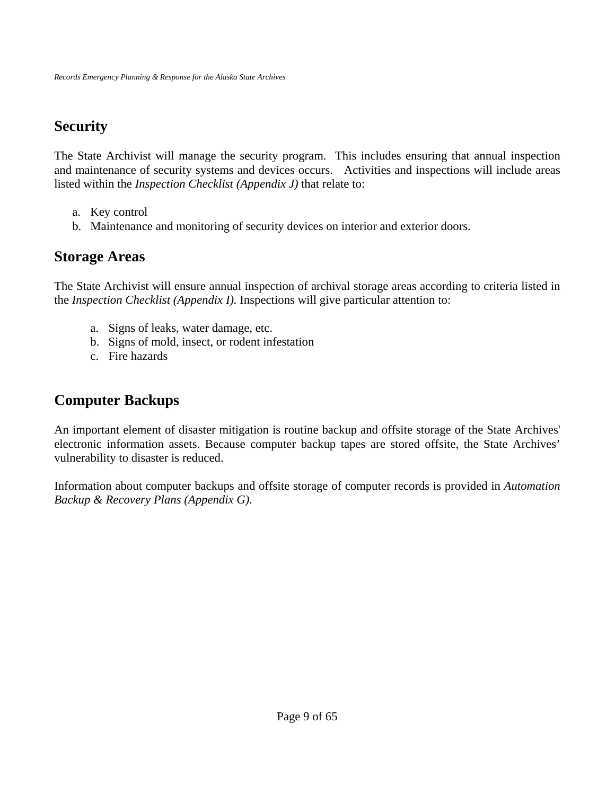## **Security**

The State Archivist will manage the security program. This includes ensuring that annual inspection and maintenance of security systems and devices occurs. Activities and inspections will include areas listed within the *Inspection Checklist (Appendix J)* that relate to:

- a. Key control
- b. Maintenance and monitoring of security devices on interior and exterior doors.

### **Storage Areas**

The State Archivist will ensure annual inspection of archival storage areas according to criteria listed in the *Inspection Checklist (Appendix I).* Inspections will give particular attention to:

- a. Signs of leaks, water damage, etc.
- b. Signs of mold, insect, or rodent infestation
- c. Fire hazards

## **Computer Backups**

An important element of disaster mitigation is routine backup and offsite storage of the State Archives' electronic information assets. Because computer backup tapes are stored offsite, the State Archives' vulnerability to disaster is reduced.

Information about computer backups and offsite storage of computer records is provided in *Automation Backup & Recovery Plans (Appendix G).*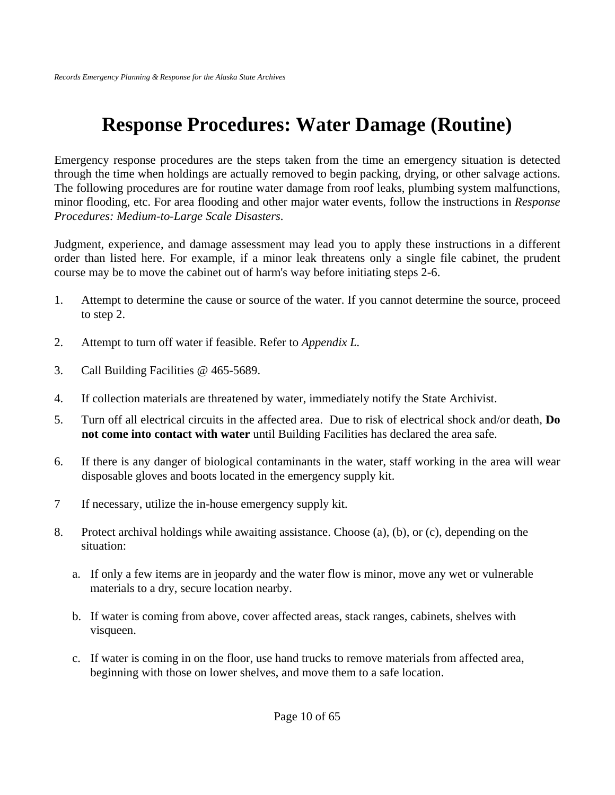# **Response Procedures: Water Damage (Routine)**

Emergency response procedures are the steps taken from the time an emergency situation is detected through the time when holdings are actually removed to begin packing, drying, or other salvage actions. The following procedures are for routine water damage from roof leaks, plumbing system malfunctions, minor flooding, etc. For area flooding and other major water events, follow the instructions in *Response Procedures: Medium-to-Large Scale Disasters*.

Judgment, experience, and damage assessment may lead you to apply these instructions in a different order than listed here. For example, if a minor leak threatens only a single file cabinet, the prudent course may be to move the cabinet out of harm's way before initiating steps 2-6.

- 1. Attempt to determine the cause or source of the water. If you cannot determine the source, proceed to step 2.
- 2. Attempt to turn off water if feasible. Refer to *Appendix L.*
- 3. Call Building Facilities @ 465-5689.
- 4. If collection materials are threatened by water, immediately notify the State Archivist.
- 5. Turn off all electrical circuits in the affected area. Due to risk of electrical shock and/or death, **Do not come into contact with water** until Building Facilities has declared the area safe.
- 6. If there is any danger of biological contaminants in the water, staff working in the area will wear disposable gloves and boots located in the emergency supply kit.
- 7 If necessary, utilize the in-house emergency supply kit.
- 8. Protect archival holdings while awaiting assistance. Choose (a), (b), or (c), depending on the situation:
	- a. If only a few items are in jeopardy and the water flow is minor, move any wet or vulnerable materials to a dry, secure location nearby.
	- b. If water is coming from above, cover affected areas, stack ranges, cabinets, shelves with visqueen.
	- c. If water is coming in on the floor, use hand trucks to remove materials from affected area, beginning with those on lower shelves, and move them to a safe location.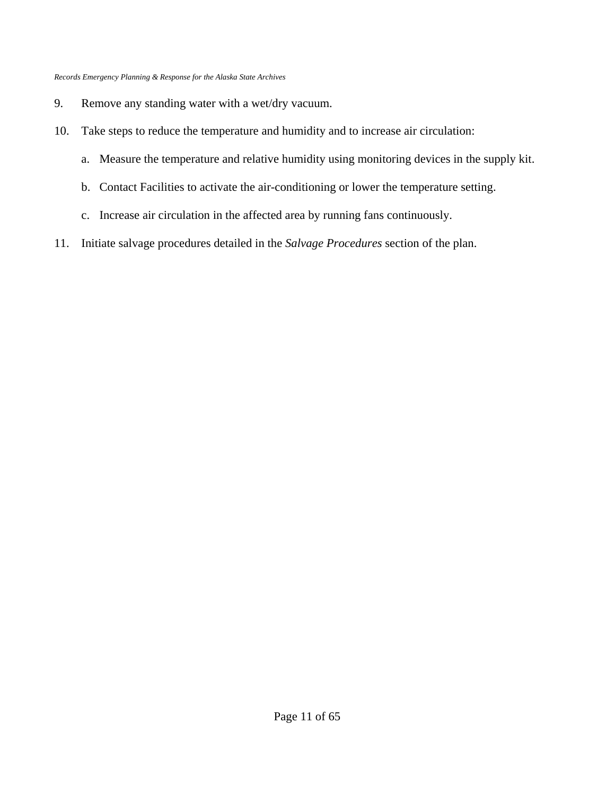- 9. Remove any standing water with a wet/dry vacuum.
- 10. Take steps to reduce the temperature and humidity and to increase air circulation:
	- a. Measure the temperature and relative humidity using monitoring devices in the supply kit.
	- b. Contact Facilities to activate the air-conditioning or lower the temperature setting.
	- c. Increase air circulation in the affected area by running fans continuously.
- 11. Initiate salvage procedures detailed in the *Salvage Procedures* section of the plan.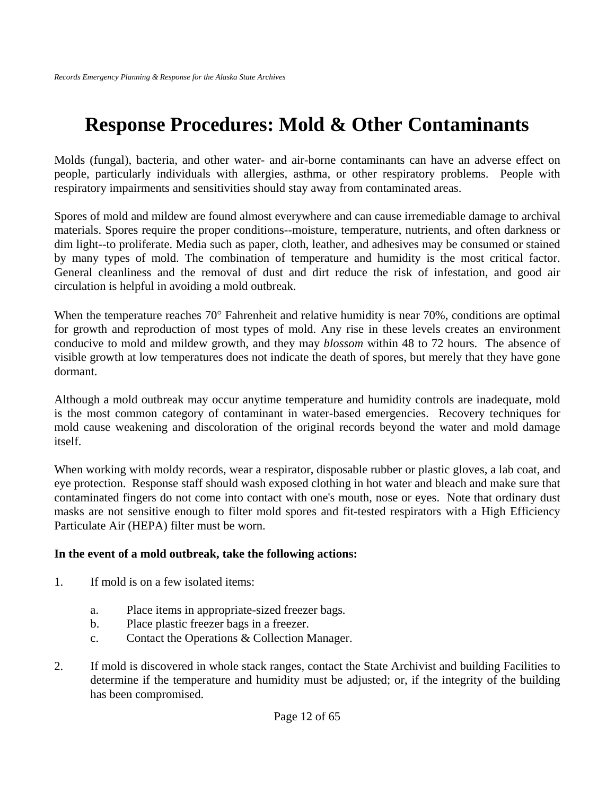## **Response Procedures: Mold & Other Contaminants**

Molds (fungal), bacteria, and other water- and air-borne contaminants can have an adverse effect on people, particularly individuals with allergies, asthma, or other respiratory problems. People with respiratory impairments and sensitivities should stay away from contaminated areas.

Spores of mold and mildew are found almost everywhere and can cause irremediable damage to archival materials. Spores require the proper conditions--moisture, temperature, nutrients, and often darkness or dim light--to proliferate. Media such as paper, cloth, leather, and adhesives may be consumed or stained by many types of mold. The combination of temperature and humidity is the most critical factor. General cleanliness and the removal of dust and dirt reduce the risk of infestation, and good air circulation is helpful in avoiding a mold outbreak.

When the temperature reaches 70° Fahrenheit and relative humidity is near 70%, conditions are optimal for growth and reproduction of most types of mold. Any rise in these levels creates an environment conducive to mold and mildew growth, and they may *blossom* within 48 to 72 hours. The absence of visible growth at low temperatures does not indicate the death of spores, but merely that they have gone dormant.

Although a mold outbreak may occur anytime temperature and humidity controls are inadequate, mold is the most common category of contaminant in water-based emergencies. Recovery techniques for mold cause weakening and discoloration of the original records beyond the water and mold damage itself.

When working with moldy records, wear a respirator, disposable rubber or plastic gloves, a lab coat, and eye protection. Response staff should wash exposed clothing in hot water and bleach and make sure that contaminated fingers do not come into contact with one's mouth, nose or eyes. Note that ordinary dust masks are not sensitive enough to filter mold spores and fit-tested respirators with a High Efficiency Particulate Air (HEPA) filter must be worn.

#### **In the event of a mold outbreak, take the following actions:**

- 1. If mold is on a few isolated items:
	- a. Place items in appropriate-sized freezer bags*.*
	- b. Place plastic freezer bags in a freezer.
	- c. Contact the Operations & Collection Manager.
- 2. If mold is discovered in whole stack ranges, contact the State Archivist and building Facilities to determine if the temperature and humidity must be adjusted; or, if the integrity of the building has been compromised.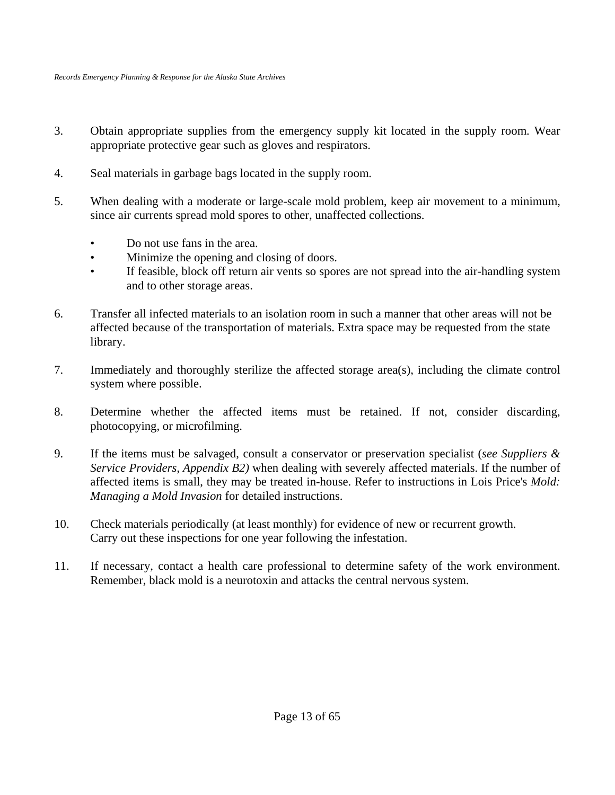- 3. Obtain appropriate supplies from the emergency supply kit located in the supply room. Wear appropriate protective gear such as gloves and respirators.
- 4. Seal materials in garbage bags located in the supply room.
- 5. When dealing with a moderate or large-scale mold problem, keep air movement to a minimum, since air currents spread mold spores to other, unaffected collections.
	- Do not use fans in the area.
	- Minimize the opening and closing of doors.
	- If feasible, block off return air vents so spores are not spread into the air-handling system and to other storage areas.
- 6. Transfer all infected materials to an isolation room in such a manner that other areas will not be affected because of the transportation of materials. Extra space may be requested from the state library.
- 7. Immediately and thoroughly sterilize the affected storage area(s), including the climate control system where possible.
- 8. Determine whether the affected items must be retained. If not, consider discarding, photocopying, or microfilming.
- 9. If the items must be salvaged, consult a conservator or preservation specialist (*see Suppliers & Service Providers, Appendix B2)* when dealing with severely affected materials. If the number of affected items is small, they may be treated in-house. Refer to instructions in Lois Price's *Mold: Managing a Mold Invasion* for detailed instructions.
- 10. Check materials periodically (at least monthly) for evidence of new or recurrent growth. Carry out these inspections for one year following the infestation.
- 11. If necessary, contact a health care professional to determine safety of the work environment. Remember, black mold is a neurotoxin and attacks the central nervous system.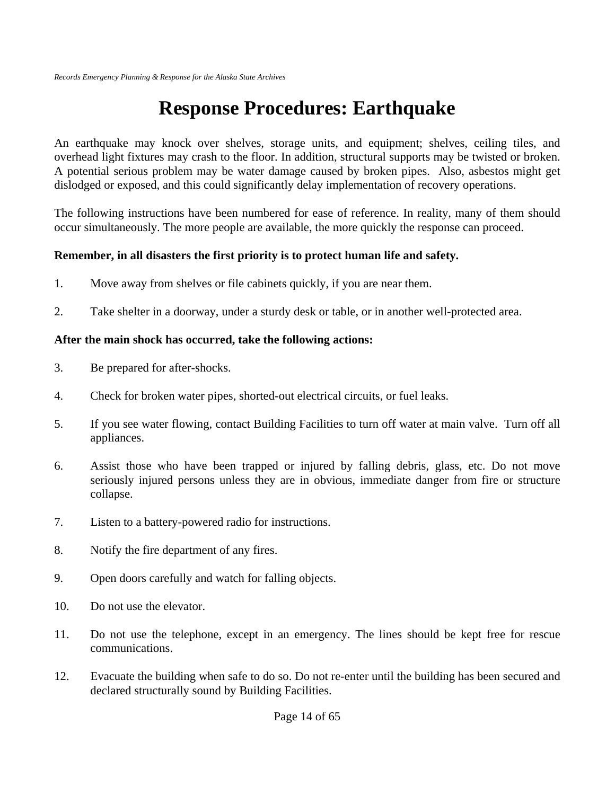# **Response Procedures: Earthquake**

An earthquake may knock over shelves, storage units, and equipment; shelves, ceiling tiles, and overhead light fixtures may crash to the floor. In addition, structural supports may be twisted or broken. A potential serious problem may be water damage caused by broken pipes. Also, asbestos might get dislodged or exposed, and this could significantly delay implementation of recovery operations.

The following instructions have been numbered for ease of reference. In reality, many of them should occur simultaneously. The more people are available, the more quickly the response can proceed.

### **Remember, in all disasters the first priority is to protect human life and safety.**

- 1. Move away from shelves or file cabinets quickly, if you are near them.
- 2. Take shelter in a doorway, under a sturdy desk or table, or in another well-protected area.

### **After the main shock has occurred, take the following actions:**

- 3. Be prepared for after-shocks.
- 4. Check for broken water pipes, shorted-out electrical circuits, or fuel leaks.
- 5. If you see water flowing, contact Building Facilities to turn off water at main valve. Turn off all appliances.
- 6. Assist those who have been trapped or injured by falling debris, glass, etc. Do not move seriously injured persons unless they are in obvious, immediate danger from fire or structure collapse.
- 7. Listen to a battery-powered radio for instructions.
- 8. Notify the fire department of any fires.
- 9. Open doors carefully and watch for falling objects.
- 10. Do not use the elevator.
- 11. Do not use the telephone, except in an emergency. The lines should be kept free for rescue communications.
- 12. Evacuate the building when safe to do so. Do not re-enter until the building has been secured and declared structurally sound by Building Facilities.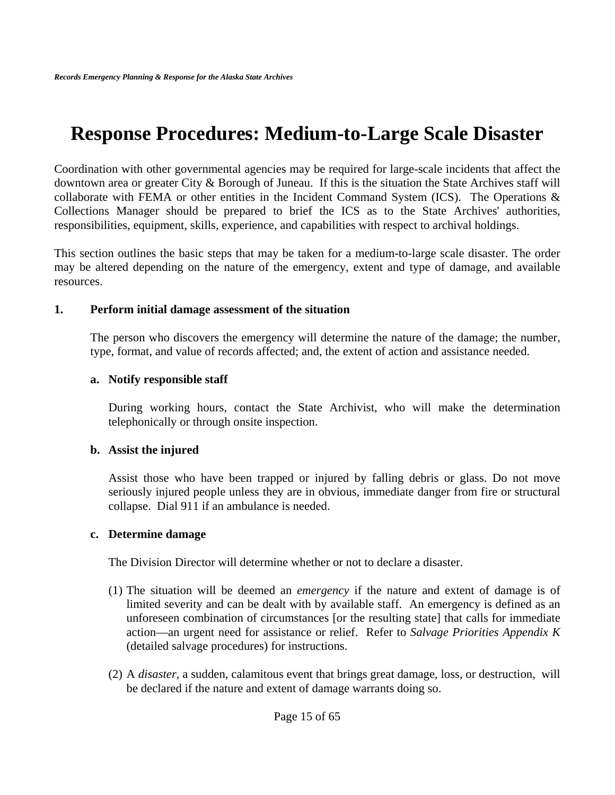## **Response Procedures: Medium-to-Large Scale Disaster**

Coordination with other governmental agencies may be required for large-scale incidents that affect the downtown area or greater City & Borough of Juneau. If this is the situation the State Archives staff will collaborate with FEMA or other entities in the Incident Command System (ICS). The Operations & Collections Manager should be prepared to brief the ICS as to the State Archives' authorities, responsibilities, equipment, skills, experience, and capabilities with respect to archival holdings.

This section outlines the basic steps that may be taken for a medium-to-large scale disaster. The order may be altered depending on the nature of the emergency, extent and type of damage, and available resources.

#### **1. Perform initial damage assessment of the situation**

The person who discovers the emergency will determine the nature of the damage; the number, type, format, and value of records affected; and, the extent of action and assistance needed.

### **a. Notify responsible staff**

During working hours, contact the State Archivist, who will make the determination telephonically or through onsite inspection.

### **b. Assist the injured**

Assist those who have been trapped or injured by falling debris or glass. Do not move seriously injured people unless they are in obvious, immediate danger from fire or structural collapse. Dial 911 if an ambulance is needed.

### **c. Determine damage**

The Division Director will determine whether or not to declare a disaster.

- (1) The situation will be deemed an *emergency* if the nature and extent of damage is of limited severity and can be dealt with by available staff. An emergency is defined as an unforeseen combination of circumstances [or the resulting state] that calls for immediate action—an urgent need for assistance or relief. Refer to *Salvage Priorities Appendix K* (detailed salvage procedures) for instructions.
- (2) A *disaster*, a sudden, calamitous event that brings great damage, loss, or destruction, will be declared if the nature and extent of damage warrants doing so.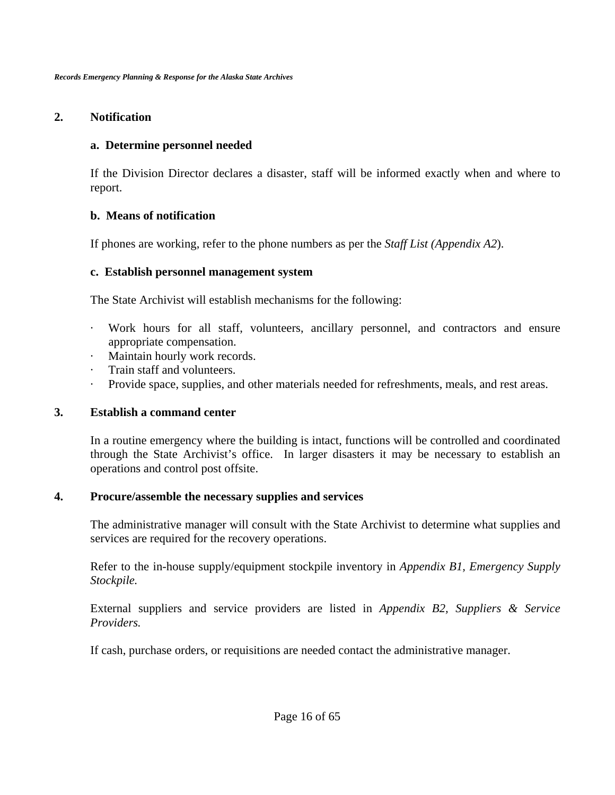### **2. Notification**

#### **a. Determine personnel needed**

If the Division Director declares a disaster, staff will be informed exactly when and where to report.

### **b. Means of notification**

If phones are working, refer to the phone numbers as per the *Staff List (Appendix A2*).

### **c. Establish personnel management system**

The State Archivist will establish mechanisms for the following:

- · Work hours for all staff, volunteers, ancillary personnel, and contractors and ensure appropriate compensation.
- · Maintain hourly work records.
- Train staff and volunteers.
- · Provide space, supplies, and other materials needed for refreshments, meals, and rest areas.

### **3. Establish a command center**

In a routine emergency where the building is intact, functions will be controlled and coordinated through the State Archivist's office. In larger disasters it may be necessary to establish an operations and control post offsite.

### **4. Procure/assemble the necessary supplies and services**

The administrative manager will consult with the State Archivist to determine what supplies and services are required for the recovery operations.

Refer to the in-house supply/equipment stockpile inventory in *Appendix B1, Emergency Supply Stockpile.* 

External suppliers and service providers are listed in *Appendix B2, Suppliers & Service Providers.* 

If cash, purchase orders, or requisitions are needed contact the administrative manager.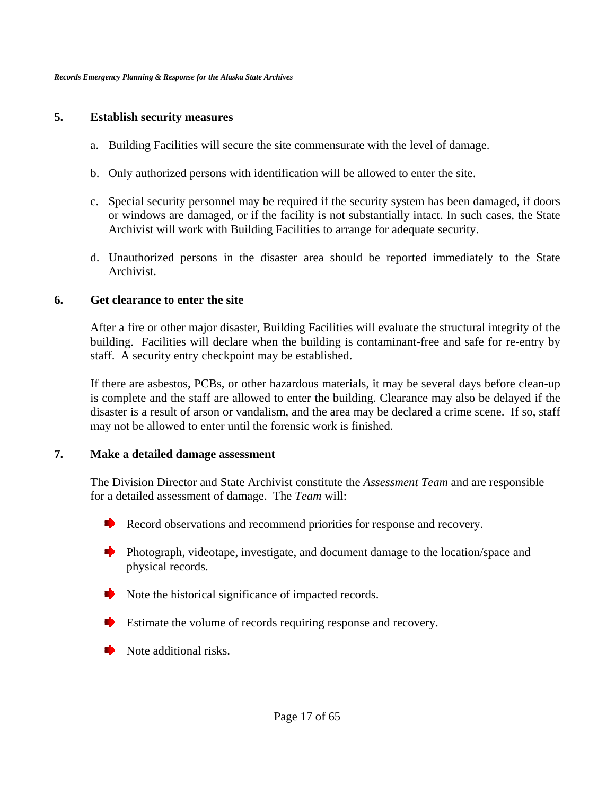#### **5. Establish security measures**

- a. Building Facilities will secure the site commensurate with the level of damage.
- b. Only authorized persons with identification will be allowed to enter the site.
- c. Special security personnel may be required if the security system has been damaged, if doors or windows are damaged, or if the facility is not substantially intact. In such cases, the State Archivist will work with Building Facilities to arrange for adequate security.
- d. Unauthorized persons in the disaster area should be reported immediately to the State Archivist.

#### **6. Get clearance to enter the site**

After a fire or other major disaster, Building Facilities will evaluate the structural integrity of the building. Facilities will declare when the building is contaminant-free and safe for re-entry by staff. A security entry checkpoint may be established.

If there are asbestos, PCBs, or other hazardous materials, it may be several days before clean-up is complete and the staff are allowed to enter the building. Clearance may also be delayed if the disaster is a result of arson or vandalism, and the area may be declared a crime scene. If so, staff may not be allowed to enter until the forensic work is finished.

#### **7. Make a detailed damage assessment**

The Division Director and State Archivist constitute the *Assessment Team* and are responsible for a detailed assessment of damage. The *Team* will:

- Record observations and recommend priorities for response and recovery.
- Photograph, videotape, investigate, and document damage to the location/space and physical records.
- Note the historical significance of impacted records.
- Estimate the volume of records requiring response and recovery.
- Note additional risks.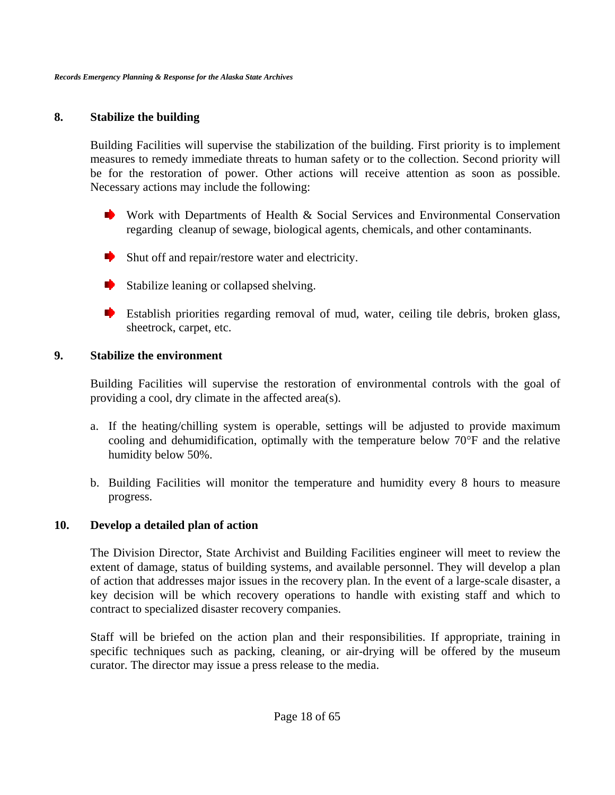#### **8. Stabilize the building**

Building Facilities will supervise the stabilization of the building. First priority is to implement measures to remedy immediate threats to human safety or to the collection. Second priority will be for the restoration of power. Other actions will receive attention as soon as possible. Necessary actions may include the following:

- Work with Departments of Health  $\&$  Social Services and Environmental Conservation regarding cleanup of sewage, biological agents, chemicals, and other contaminants.
- $\blacktriangleright$  Shut off and repair/restore water and electricity.
- $\blacktriangleright$  Stabilize leaning or collapsed shelving.
- Establish priorities regarding removal of mud, water, ceiling tile debris, broken glass, sheetrock, carpet, etc.

#### **9. Stabilize the environment**

Building Facilities will supervise the restoration of environmental controls with the goal of providing a cool, dry climate in the affected area(s).

- a. If the heating/chilling system is operable, settings will be adjusted to provide maximum cooling and dehumidification, optimally with the temperature below 70°F and the relative humidity below 50%.
- b. Building Facilities will monitor the temperature and humidity every 8 hours to measure progress.

### **10. Develop a detailed plan of action**

The Division Director, State Archivist and Building Facilities engineer will meet to review the extent of damage, status of building systems, and available personnel. They will develop a plan of action that addresses major issues in the recovery plan. In the event of a large-scale disaster, a key decision will be which recovery operations to handle with existing staff and which to contract to specialized disaster recovery companies.

Staff will be briefed on the action plan and their responsibilities. If appropriate, training in specific techniques such as packing, cleaning, or air-drying will be offered by the museum curator. The director may issue a press release to the media.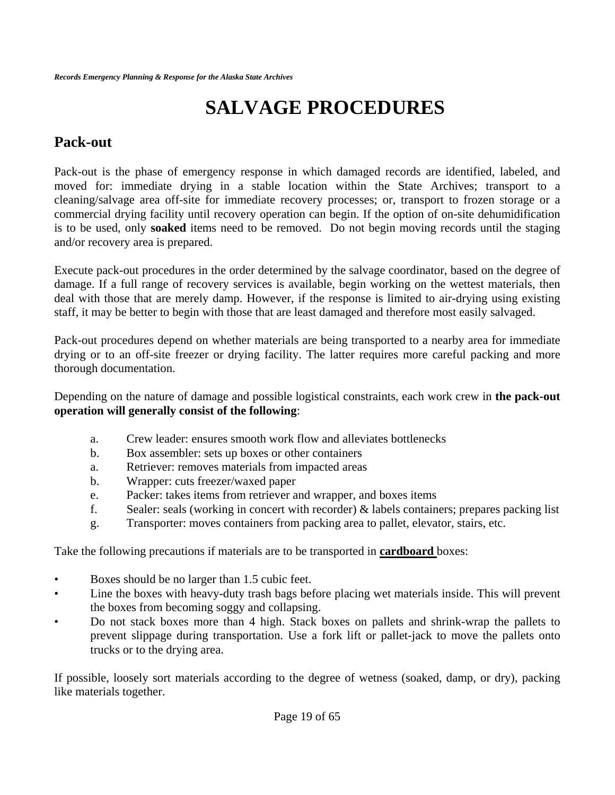# **SALVAGE PROCEDURES**

### **Pack-out**

Pack-out is the phase of emergency response in which damaged records are identified, labeled, and moved for: immediate drying in a stable location within the State Archives; transport to a cleaning/salvage area off-site for immediate recovery processes; or, transport to frozen storage or a commercial drying facility until recovery operation can begin. If the option of on-site dehumidification is to be used, only **soaked** items need to be removed. Do not begin moving records until the staging and/or recovery area is prepared.

Execute pack-out procedures in the order determined by the salvage coordinator, based on the degree of damage. If a full range of recovery services is available, begin working on the wettest materials, then deal with those that are merely damp. However, if the response is limited to air-drying using existing staff, it may be better to begin with those that are least damaged and therefore most easily salvaged.

Pack-out procedures depend on whether materials are being transported to a nearby area for immediate drying or to an off-site freezer or drying facility. The latter requires more careful packing and more thorough documentation.

Depending on the nature of damage and possible logistical constraints, each work crew in **the pack-out operation will generally consist of the following**:

- a. Crew leader: ensures smooth work flow and alleviates bottlenecks
- b. Box assembler: sets up boxes or other containers
- a. Retriever: removes materials from impacted areas
- b. Wrapper: cuts freezer/waxed paper
- e. Packer: takes items from retriever and wrapper, and boxes items
- f. Sealer: seals (working in concert with recorder) & labels containers; prepares packing list
- g. Transporter: moves containers from packing area to pallet, elevator, stairs, etc.

Take the following precautions if materials are to be transported in **cardboard** boxes:

- Boxes should be no larger than 1.5 cubic feet.
- Line the boxes with heavy-duty trash bags before placing wet materials inside. This will prevent the boxes from becoming soggy and collapsing.
- Do not stack boxes more than 4 high. Stack boxes on pallets and shrink-wrap the pallets to prevent slippage during transportation. Use a fork lift or pallet-jack to move the pallets onto trucks or to the drying area.

If possible, loosely sort materials according to the degree of wetness (soaked, damp, or dry), packing like materials together.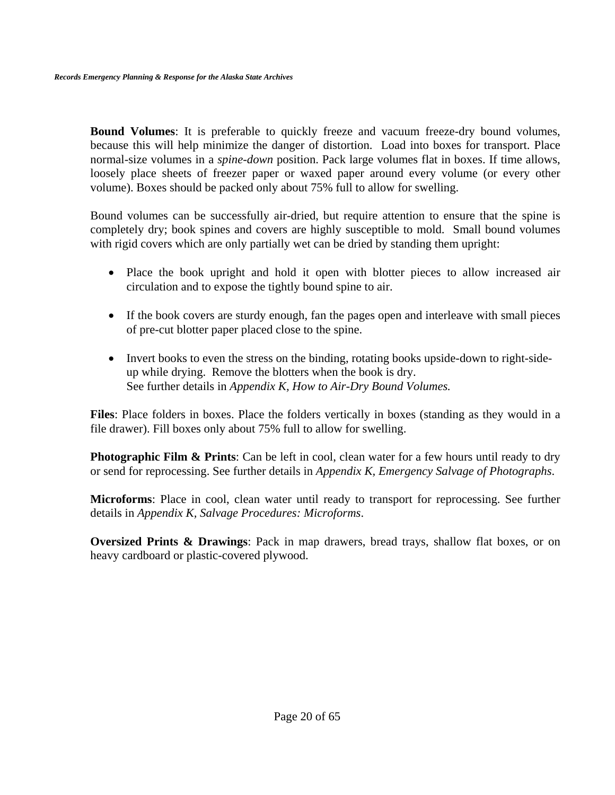**Bound Volumes**: It is preferable to quickly freeze and vacuum freeze-dry bound volumes, because this will help minimize the danger of distortion. Load into boxes for transport. Place normal-size volumes in a *spine-down* position. Pack large volumes flat in boxes. If time allows, loosely place sheets of freezer paper or waxed paper around every volume (or every other volume). Boxes should be packed only about 75% full to allow for swelling.

Bound volumes can be successfully air-dried, but require attention to ensure that the spine is completely dry; book spines and covers are highly susceptible to mold. Small bound volumes with rigid covers which are only partially wet can be dried by standing them upright:

- Place the book upright and hold it open with blotter pieces to allow increased air circulation and to expose the tightly bound spine to air.
- If the book covers are sturdy enough, fan the pages open and interleave with small pieces of pre-cut blotter paper placed close to the spine.
- Invert books to even the stress on the binding, rotating books upside-down to right-sideup while drying. Remove the blotters when the book is dry. See further details in *Appendix K, How to Air-Dry Bound Volumes.*

**Files**: Place folders in boxes. Place the folders vertically in boxes (standing as they would in a file drawer). Fill boxes only about 75% full to allow for swelling.

**Photographic Film & Prints**: Can be left in cool, clean water for a few hours until ready to dry or send for reprocessing. See further details in *Appendix K, Emergency Salvage of Photographs*.

**Microforms**: Place in cool, clean water until ready to transport for reprocessing. See further details in *Appendix K, Salvage Procedures: Microforms*.

**Oversized Prints & Drawings**: Pack in map drawers, bread trays, shallow flat boxes, or on heavy cardboard or plastic-covered plywood.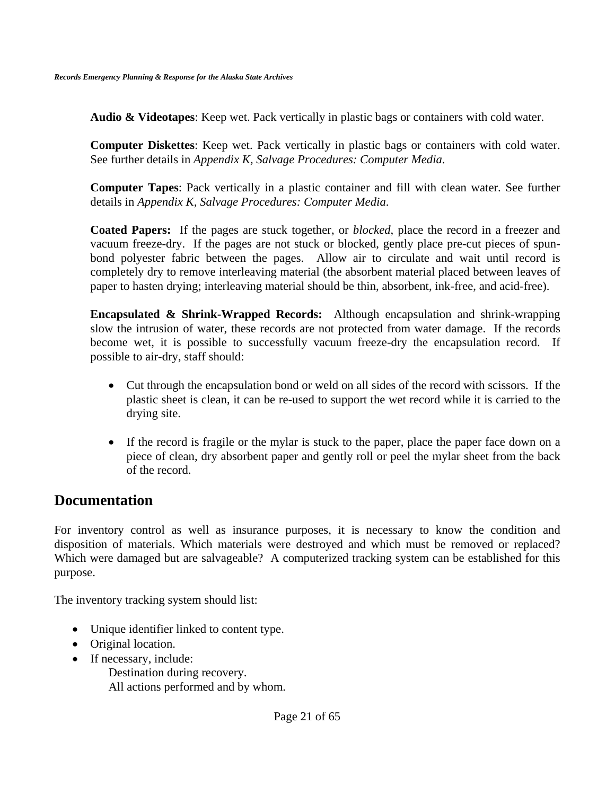**Audio & Videotapes**: Keep wet. Pack vertically in plastic bags or containers with cold water.

**Computer Diskettes**: Keep wet. Pack vertically in plastic bags or containers with cold water. See further details in *Appendix K, Salvage Procedures: Computer Media*.

**Computer Tapes**: Pack vertically in a plastic container and fill with clean water. See further details in *Appendix K, Salvage Procedures: Computer Media*.

**Coated Papers:** If the pages are stuck together, or *blocked*, place the record in a freezer and vacuum freeze-dry. If the pages are not stuck or blocked, gently place pre-cut pieces of spunbond polyester fabric between the pages. Allow air to circulate and wait until record is completely dry to remove interleaving material (the absorbent material placed between leaves of paper to hasten drying; interleaving material should be thin, absorbent, ink-free, and acid-free).

**Encapsulated & Shrink-Wrapped Records:** Although encapsulation and shrink-wrapping slow the intrusion of water, these records are not protected from water damage. If the records become wet, it is possible to successfully vacuum freeze-dry the encapsulation record. If possible to air-dry, staff should:

- Cut through the encapsulation bond or weld on all sides of the record with scissors. If the plastic sheet is clean, it can be re-used to support the wet record while it is carried to the drying site.
- If the record is fragile or the mylar is stuck to the paper, place the paper face down on a piece of clean, dry absorbent paper and gently roll or peel the mylar sheet from the back of the record.

### **Documentation**

For inventory control as well as insurance purposes, it is necessary to know the condition and disposition of materials. Which materials were destroyed and which must be removed or replaced? Which were damaged but are salvageable? A computerized tracking system can be established for this purpose.

The inventory tracking system should list:

- Unique identifier linked to content type.
- Original location.
- If necessary, include:

Destination during recovery. All actions performed and by whom.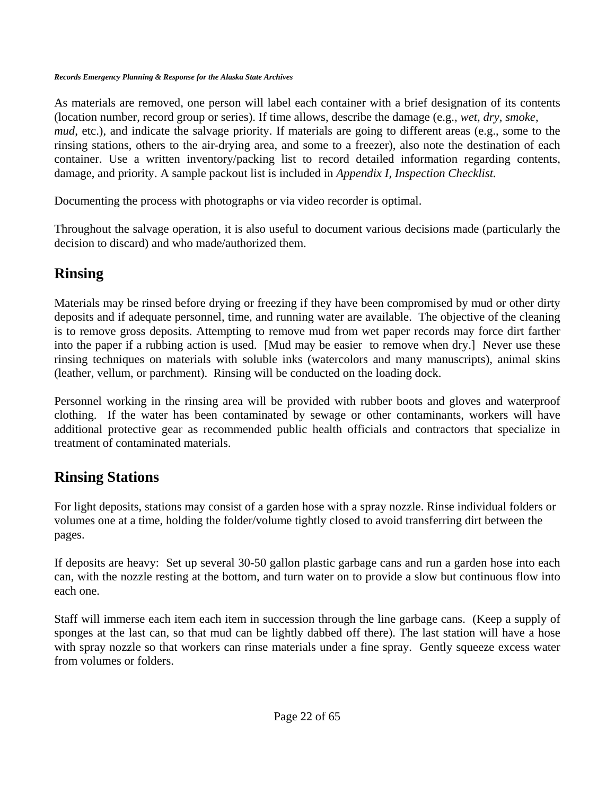As materials are removed, one person will label each container with a brief designation of its contents (location number, record group or series). If time allows, describe the damage (e.g., *wet*, *dry*, *smoke*, *mud*, etc.), and indicate the salvage priority. If materials are going to different areas (e.g., some to the rinsing stations, others to the air-drying area, and some to a freezer), also note the destination of each container. Use a written inventory/packing list to record detailed information regarding contents, damage, and priority. A sample packout list is included in *Appendix I, Inspection Checklist.* 

Documenting the process with photographs or via video recorder is optimal.

Throughout the salvage operation, it is also useful to document various decisions made (particularly the decision to discard) and who made/authorized them.

## **Rinsing**

Materials may be rinsed before drying or freezing if they have been compromised by mud or other dirty deposits and if adequate personnel, time, and running water are available. The objective of the cleaning is to remove gross deposits. Attempting to remove mud from wet paper records may force dirt farther into the paper if a rubbing action is used. [Mud may be easier to remove when dry.] Never use these rinsing techniques on materials with soluble inks (watercolors and many manuscripts), animal skins (leather, vellum, or parchment). Rinsing will be conducted on the loading dock.

Personnel working in the rinsing area will be provided with rubber boots and gloves and waterproof clothing. If the water has been contaminated by sewage or other contaminants, workers will have additional protective gear as recommended public health officials and contractors that specialize in treatment of contaminated materials.

### **Rinsing Stations**

For light deposits, stations may consist of a garden hose with a spray nozzle. Rinse individual folders or volumes one at a time, holding the folder/volume tightly closed to avoid transferring dirt between the pages.

If deposits are heavy: Set up several 30-50 gallon plastic garbage cans and run a garden hose into each can, with the nozzle resting at the bottom, and turn water on to provide a slow but continuous flow into each one.

Staff will immerse each item each item in succession through the line garbage cans. (Keep a supply of sponges at the last can, so that mud can be lightly dabbed off there). The last station will have a hose with spray nozzle so that workers can rinse materials under a fine spray. Gently squeeze excess water from volumes or folders.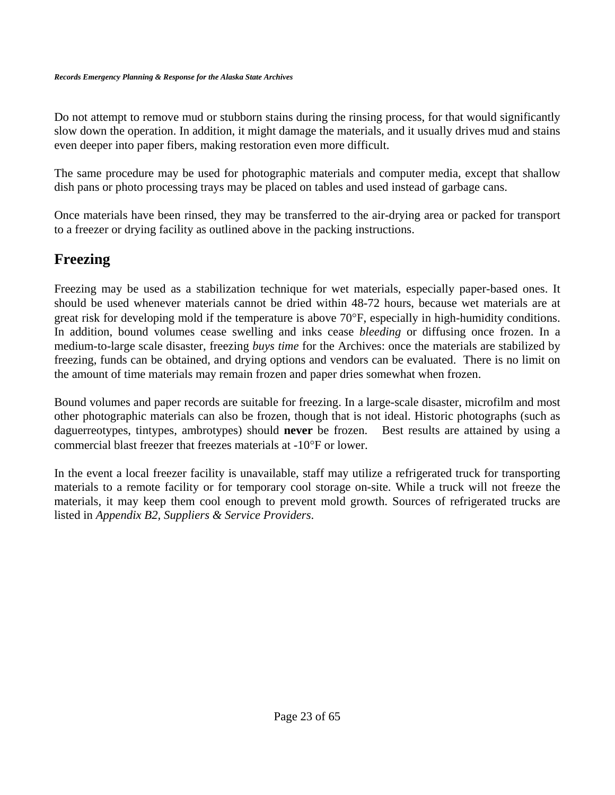Do not attempt to remove mud or stubborn stains during the rinsing process, for that would significantly slow down the operation. In addition, it might damage the materials, and it usually drives mud and stains even deeper into paper fibers, making restoration even more difficult.

The same procedure may be used for photographic materials and computer media, except that shallow dish pans or photo processing trays may be placed on tables and used instead of garbage cans.

Once materials have been rinsed, they may be transferred to the air-drying area or packed for transport to a freezer or drying facility as outlined above in the packing instructions.

### **Freezing**

Freezing may be used as a stabilization technique for wet materials, especially paper-based ones. It should be used whenever materials cannot be dried within 48-72 hours, because wet materials are at great risk for developing mold if the temperature is above 70°F, especially in high-humidity conditions. In addition, bound volumes cease swelling and inks cease *bleeding* or diffusing once frozen. In a medium-to-large scale disaster, freezing *buys time* for the Archives: once the materials are stabilized by freezing, funds can be obtained, and drying options and vendors can be evaluated. There is no limit on the amount of time materials may remain frozen and paper dries somewhat when frozen.

Bound volumes and paper records are suitable for freezing. In a large-scale disaster, microfilm and most other photographic materials can also be frozen, though that is not ideal. Historic photographs (such as daguerreotypes, tintypes, ambrotypes) should **never** be frozen. Best results are attained by using a commercial blast freezer that freezes materials at -10°F or lower.

In the event a local freezer facility is unavailable, staff may utilize a refrigerated truck for transporting materials to a remote facility or for temporary cool storage on-site. While a truck will not freeze the materials, it may keep them cool enough to prevent mold growth. Sources of refrigerated trucks are listed in *Appendix B2, Suppliers & Service Providers*.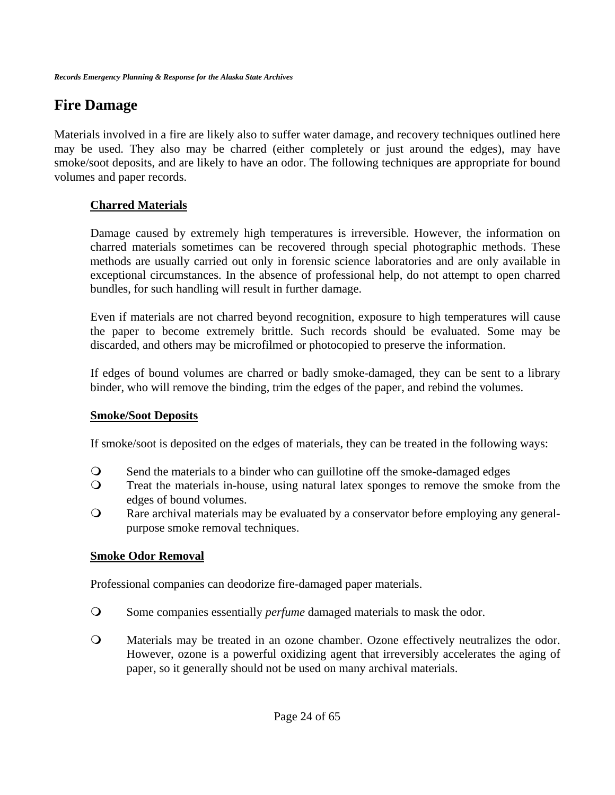### **Fire Damage**

Materials involved in a fire are likely also to suffer water damage, and recovery techniques outlined here may be used. They also may be charred (either completely or just around the edges), may have smoke/soot deposits, and are likely to have an odor. The following techniques are appropriate for bound volumes and paper records.

### **Charred Materials**

Damage caused by extremely high temperatures is irreversible. However, the information on charred materials sometimes can be recovered through special photographic methods. These methods are usually carried out only in forensic science laboratories and are only available in exceptional circumstances. In the absence of professional help, do not attempt to open charred bundles, for such handling will result in further damage.

Even if materials are not charred beyond recognition, exposure to high temperatures will cause the paper to become extremely brittle. Such records should be evaluated. Some may be discarded, and others may be microfilmed or photocopied to preserve the information.

If edges of bound volumes are charred or badly smoke-damaged, they can be sent to a library binder, who will remove the binding, trim the edges of the paper, and rebind the volumes.

### **Smoke/Soot Deposits**

If smoke/soot is deposited on the edges of materials, they can be treated in the following ways:

- Send the materials to a binder who can guillotine off the smoke-damaged edges
- Treat the materials in-house, using natural latex sponges to remove the smoke from the edges of bound volumes.
- Rare archival materials may be evaluated by a conservator before employing any generalpurpose smoke removal techniques.

### **Smoke Odor Removal**

Professional companies can deodorize fire-damaged paper materials.

- Some companies essentially *perfume* damaged materials to mask the odor.
- Materials may be treated in an ozone chamber. Ozone effectively neutralizes the odor. However, ozone is a powerful oxidizing agent that irreversibly accelerates the aging of paper, so it generally should not be used on many archival materials.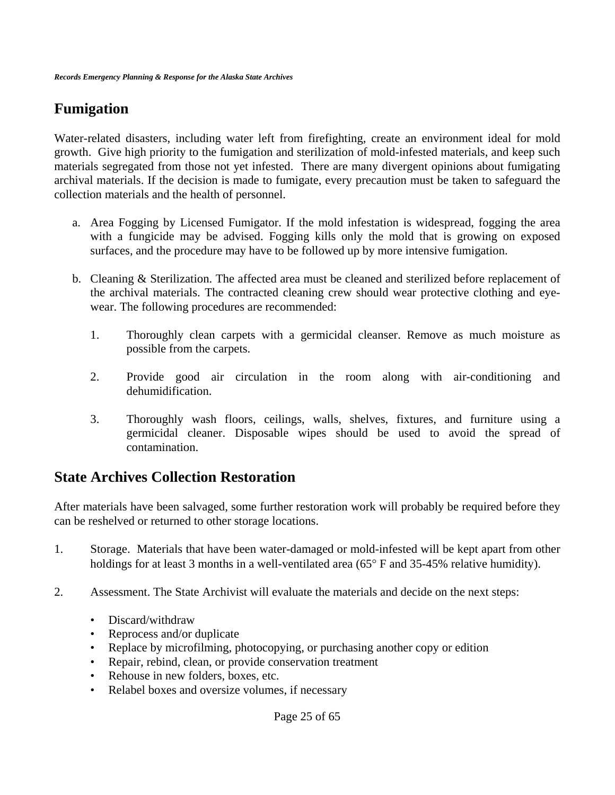### **Fumigation**

Water-related disasters, including water left from firefighting, create an environment ideal for mold growth. Give high priority to the fumigation and sterilization of mold-infested materials, and keep such materials segregated from those not yet infested. There are many divergent opinions about fumigating archival materials. If the decision is made to fumigate, every precaution must be taken to safeguard the collection materials and the health of personnel.

- a. Area Fogging by Licensed Fumigator. If the mold infestation is widespread, fogging the area with a fungicide may be advised. Fogging kills only the mold that is growing on exposed surfaces, and the procedure may have to be followed up by more intensive fumigation.
- b. Cleaning & Sterilization. The affected area must be cleaned and sterilized before replacement of the archival materials. The contracted cleaning crew should wear protective clothing and eyewear. The following procedures are recommended:
	- 1. Thoroughly clean carpets with a germicidal cleanser. Remove as much moisture as possible from the carpets.
	- 2. Provide good air circulation in the room along with air-conditioning and dehumidification.
	- 3. Thoroughly wash floors, ceilings, walls, shelves, fixtures, and furniture using a germicidal cleaner. Disposable wipes should be used to avoid the spread of contamination.

### **State Archives Collection Restoration**

After materials have been salvaged, some further restoration work will probably be required before they can be reshelved or returned to other storage locations.

- 1. Storage. Materials that have been water-damaged or mold-infested will be kept apart from other holdings for at least 3 months in a well-ventilated area (65° F and 35-45% relative humidity).
- 2. Assessment. The State Archivist will evaluate the materials and decide on the next steps:
	- Discard/withdraw
	- Reprocess and/or duplicate
	- Replace by microfilming, photocopying, or purchasing another copy or edition
	- Repair, rebind, clean, or provide conservation treatment
	- Rehouse in new folders, boxes, etc.
	- Relabel boxes and oversize volumes, if necessary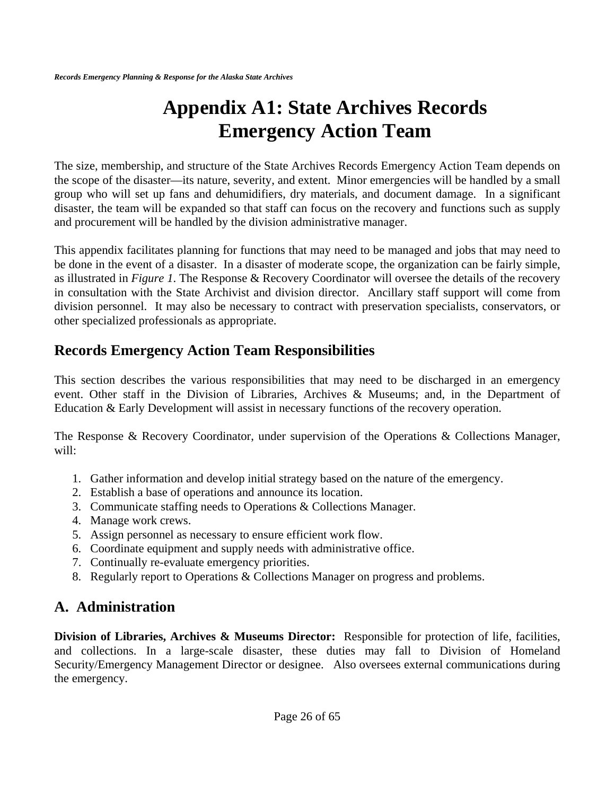# **Appendix A1: State Archives Records Emergency Action Team**

The size, membership, and structure of the State Archives Records Emergency Action Team depends on the scope of the disaster—its nature, severity, and extent. Minor emergencies will be handled by a small group who will set up fans and dehumidifiers, dry materials, and document damage. In a significant disaster, the team will be expanded so that staff can focus on the recovery and functions such as supply and procurement will be handled by the division administrative manager.

This appendix facilitates planning for functions that may need to be managed and jobs that may need to be done in the event of a disaster. In a disaster of moderate scope, the organization can be fairly simple, as illustrated in *Figure 1*. The Response & Recovery Coordinator will oversee the details of the recovery in consultation with the State Archivist and division director. Ancillary staff support will come from division personnel. It may also be necessary to contract with preservation specialists, conservators, or other specialized professionals as appropriate.

### **Records Emergency Action Team Responsibilities**

This section describes the various responsibilities that may need to be discharged in an emergency event. Other staff in the Division of Libraries, Archives & Museums; and, in the Department of Education & Early Development will assist in necessary functions of the recovery operation.

The Response & Recovery Coordinator, under supervision of the Operations & Collections Manager, will:

- 1. Gather information and develop initial strategy based on the nature of the emergency.
- 2. Establish a base of operations and announce its location.
- 3. Communicate staffing needs to Operations & Collections Manager.
- 4. Manage work crews.
- 5. Assign personnel as necessary to ensure efficient work flow.
- 6. Coordinate equipment and supply needs with administrative office.
- 7. Continually re-evaluate emergency priorities.
- 8. Regularly report to Operations & Collections Manager on progress and problems.

### **A. Administration**

**Division of Libraries, Archives & Museums Director:** Responsible for protection of life, facilities, and collections. In a large-scale disaster, these duties may fall to Division of Homeland Security/Emergency Management Director or designee. Also oversees external communications during the emergency.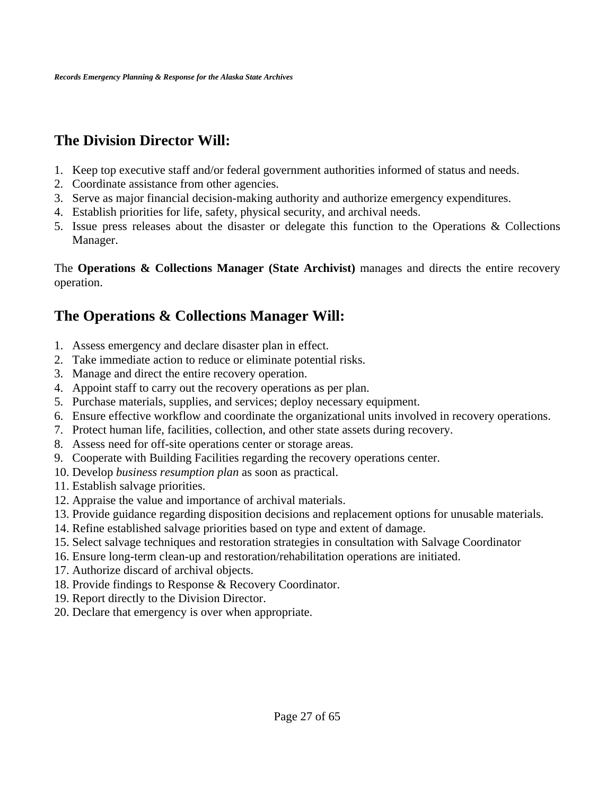## **The Division Director Will:**

- 1. Keep top executive staff and/or federal government authorities informed of status and needs.
- 2. Coordinate assistance from other agencies.
- 3. Serve as major financial decision-making authority and authorize emergency expenditures.
- 4. Establish priorities for life, safety, physical security, and archival needs.
- 5. Issue press releases about the disaster or delegate this function to the Operations & Collections Manager.

The **Operations & Collections Manager (State Archivist)** manages and directs the entire recovery operation.

### **The Operations & Collections Manager Will:**

- 1. Assess emergency and declare disaster plan in effect.
- 2. Take immediate action to reduce or eliminate potential risks.
- 3. Manage and direct the entire recovery operation.
- 4. Appoint staff to carry out the recovery operations as per plan.
- 5. Purchase materials, supplies, and services; deploy necessary equipment.
- 6. Ensure effective workflow and coordinate the organizational units involved in recovery operations.
- 7. Protect human life, facilities, collection, and other state assets during recovery.
- 8. Assess need for off-site operations center or storage areas.
- 9. Cooperate with Building Facilities regarding the recovery operations center.
- 10. Develop *business resumption plan* as soon as practical.
- 11. Establish salvage priorities.
- 12. Appraise the value and importance of archival materials.
- 13. Provide guidance regarding disposition decisions and replacement options for unusable materials.
- 14. Refine established salvage priorities based on type and extent of damage.
- 15. Select salvage techniques and restoration strategies in consultation with Salvage Coordinator
- 16. Ensure long-term clean-up and restoration/rehabilitation operations are initiated.
- 17. Authorize discard of archival objects.
- 18. Provide findings to Response & Recovery Coordinator.
- 19. Report directly to the Division Director.
- 20. Declare that emergency is over when appropriate.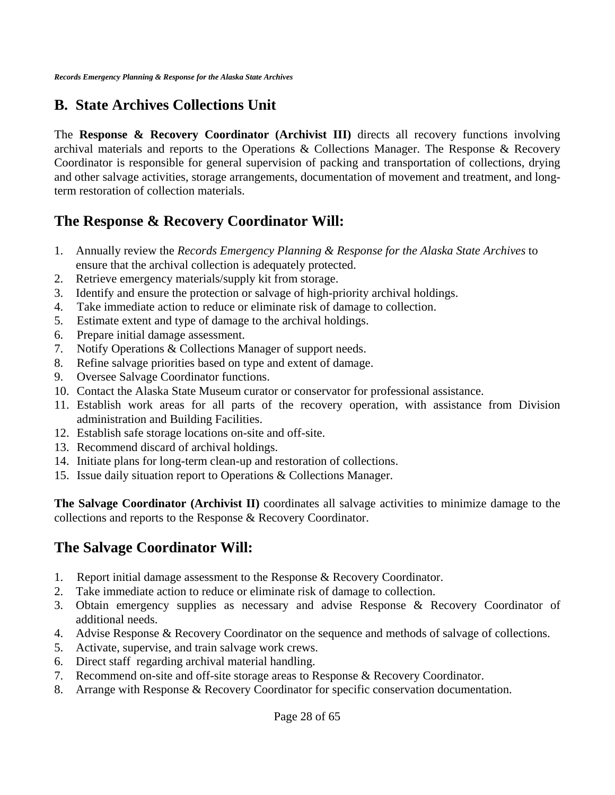### **B. State Archives Collections Unit**

The **Response & Recovery Coordinator (Archivist III)** directs all recovery functions involving archival materials and reports to the Operations & Collections Manager. The Response & Recovery Coordinator is responsible for general supervision of packing and transportation of collections, drying and other salvage activities, storage arrangements, documentation of movement and treatment, and longterm restoration of collection materials.

### **The Response & Recovery Coordinator Will:**

- 1. Annually review the *Records Emergency Planning & Response for the Alaska State Archives* to ensure that the archival collection is adequately protected.
- 2. Retrieve emergency materials/supply kit from storage.
- 3. Identify and ensure the protection or salvage of high-priority archival holdings.
- 4. Take immediate action to reduce or eliminate risk of damage to collection.
- 5. Estimate extent and type of damage to the archival holdings.
- 6. Prepare initial damage assessment.
- 7. Notify Operations & Collections Manager of support needs.
- 8. Refine salvage priorities based on type and extent of damage.
- 9. Oversee Salvage Coordinator functions.
- 10. Contact the Alaska State Museum curator or conservator for professional assistance.
- 11. Establish work areas for all parts of the recovery operation, with assistance from Division administration and Building Facilities.
- 12. Establish safe storage locations on-site and off-site.
- 13. Recommend discard of archival holdings.
- 14. Initiate plans for long-term clean-up and restoration of collections.
- 15. Issue daily situation report to Operations & Collections Manager.

**The Salvage Coordinator (Archivist II)** coordinates all salvage activities to minimize damage to the collections and reports to the Response & Recovery Coordinator.

### **The Salvage Coordinator Will:**

- 1. Report initial damage assessment to the Response & Recovery Coordinator.
- 2. Take immediate action to reduce or eliminate risk of damage to collection.
- 3. Obtain emergency supplies as necessary and advise Response & Recovery Coordinator of additional needs.
- 4. Advise Response & Recovery Coordinator on the sequence and methods of salvage of collections.
- 5. Activate, supervise, and train salvage work crews.
- 6. Direct staff regarding archival material handling.
- 7. Recommend on-site and off-site storage areas to Response & Recovery Coordinator.
- 8. Arrange with Response & Recovery Coordinator for specific conservation documentation.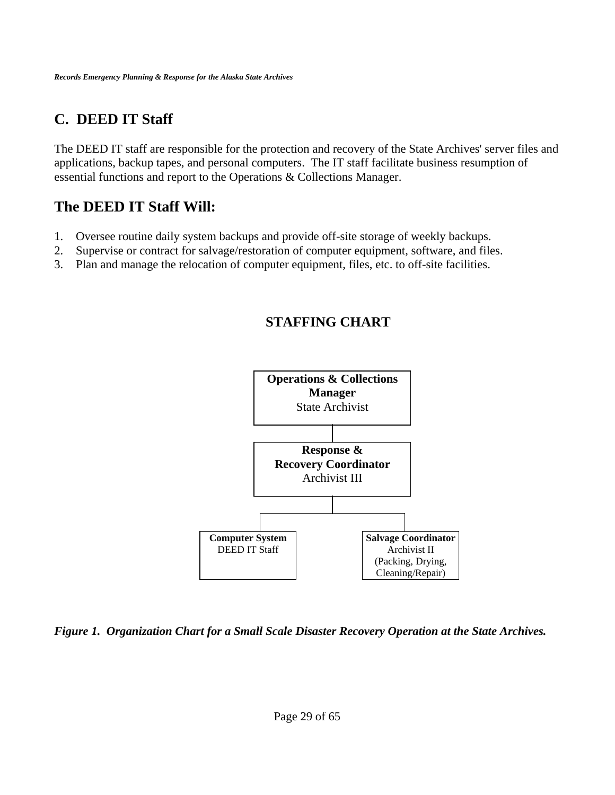## **C. DEED IT Staff**

The DEED IT staff are responsible for the protection and recovery of the State Archives' server files and applications, backup tapes, and personal computers. The IT staff facilitate business resumption of essential functions and report to the Operations & Collections Manager.

### **The DEED IT Staff Will:**

- 1. Oversee routine daily system backups and provide off-site storage of weekly backups.
- 2. Supervise or contract for salvage/restoration of computer equipment, software, and files.
- 3. Plan and manage the relocation of computer equipment, files, etc. to off-site facilities.

### **STAFFING CHART**



*Figure 1. Organization Chart for a Small Scale Disaster Recovery Operation at the State Archives.*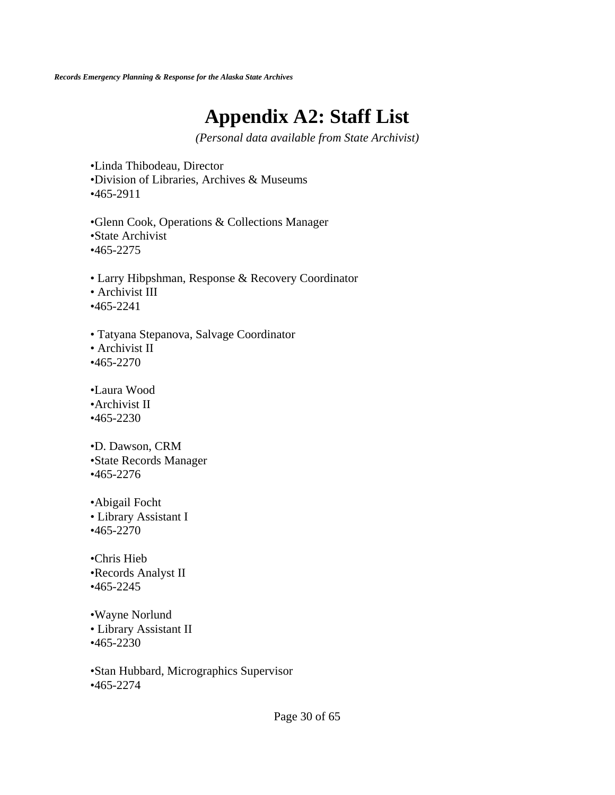# **Appendix A2: Staff List**

*(Personal data available from State Archivist)* 

•Linda Thibodeau, Director •Division of Libraries, Archives & Museums •465-2911

•Glenn Cook, Operations & Collections Manager •State Archivist •465-2275

• Larry Hibpshman, Response & Recovery Coordinator • Archivist III •465-2241

• Tatyana Stepanova, Salvage Coordinator • Archivist II •465-2270

•Laura Wood •Archivist II •465-2230

•D. Dawson, CRM •State Records Manager •465-2276

•Abigail Focht • Library Assistant I •465-2270

•Chris Hieb •Records Analyst II •465-2245

•Wayne Norlund • Library Assistant II •465-2230

•Stan Hubbard, Micrographics Supervisor •465-2274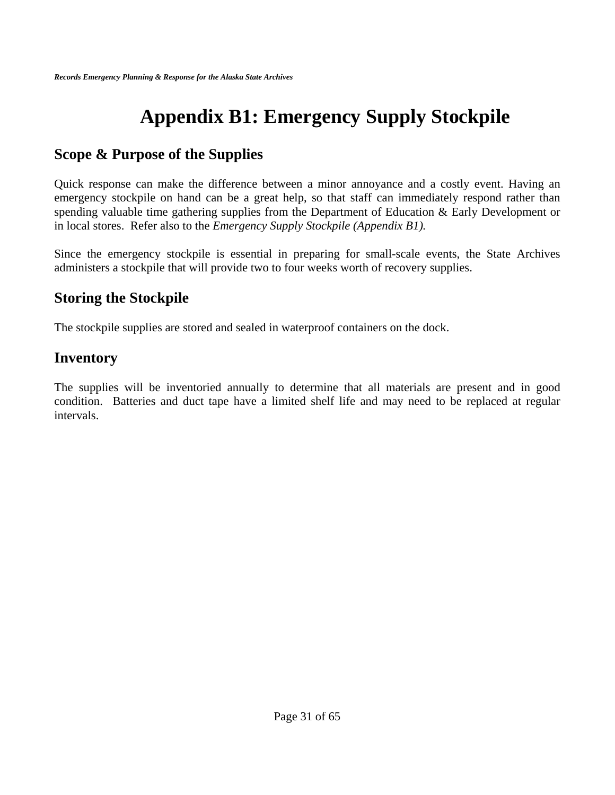# **Appendix B1: Emergency Supply Stockpile**

### **Scope & Purpose of the Supplies**

Quick response can make the difference between a minor annoyance and a costly event. Having an emergency stockpile on hand can be a great help, so that staff can immediately respond rather than spending valuable time gathering supplies from the Department of Education & Early Development or in local stores. Refer also to the *Emergency Supply Stockpile (Appendix B1).*

Since the emergency stockpile is essential in preparing for small-scale events, the State Archives administers a stockpile that will provide two to four weeks worth of recovery supplies.

### **Storing the Stockpile**

The stockpile supplies are stored and sealed in waterproof containers on the dock.

### **Inventory**

The supplies will be inventoried annually to determine that all materials are present and in good condition. Batteries and duct tape have a limited shelf life and may need to be replaced at regular intervals.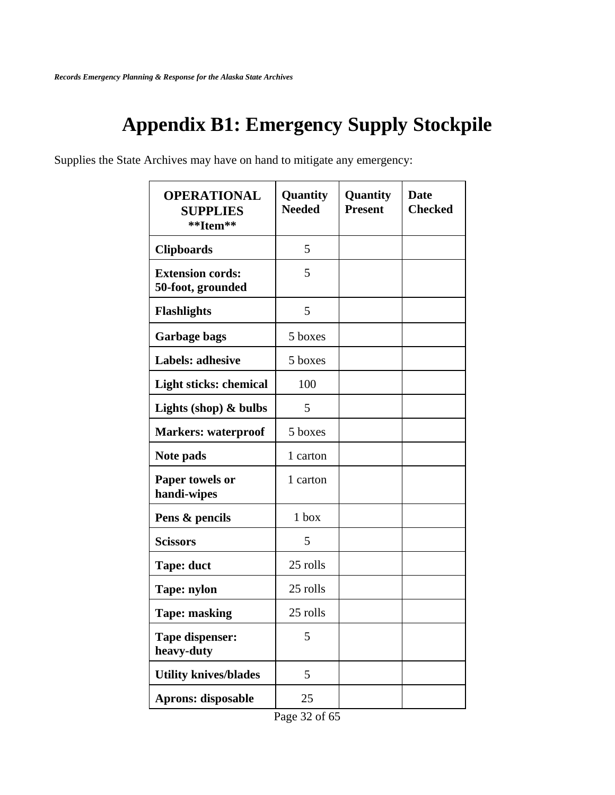# **Appendix B1: Emergency Supply Stockpile**

Supplies the State Archives may have on hand to mitigate any emergency:

| <b>OPERATIONAL</b><br><b>SUPPLIES</b><br>**Item** | Quantity<br><b>Needed</b> | Quantity<br><b>Present</b> | <b>Date</b><br><b>Checked</b> |
|---------------------------------------------------|---------------------------|----------------------------|-------------------------------|
| <b>Clipboards</b>                                 | 5                         |                            |                               |
| <b>Extension cords:</b><br>50-foot, grounded      | 5                         |                            |                               |
| <b>Flashlights</b>                                | 5                         |                            |                               |
| <b>Garbage bags</b>                               | 5 boxes                   |                            |                               |
| Labels: adhesive                                  | 5 boxes                   |                            |                               |
| Light sticks: chemical                            | 100                       |                            |                               |
| Lights (shop) $\&$ bulbs                          | 5                         |                            |                               |
| <b>Markers: waterproof</b>                        | 5 boxes                   |                            |                               |
| Note pads                                         | 1 carton                  |                            |                               |
| Paper towels or<br>handi-wipes                    | 1 carton                  |                            |                               |
| Pens & pencils                                    | $1$ box                   |                            |                               |
| <b>Scissors</b>                                   | 5                         |                            |                               |
| <b>Tape: duct</b>                                 | 25 rolls                  |                            |                               |
| Tape: nylon                                       | 25 rolls                  |                            |                               |
| <b>Tape: masking</b>                              | 25 rolls                  |                            |                               |
| <b>Tape dispenser:</b><br>heavy-duty              | 5                         |                            |                               |
| <b>Utility knives/blades</b>                      | 5                         |                            |                               |
| <b>Aprons: disposable</b>                         | 25                        |                            |                               |

Page 32 of 65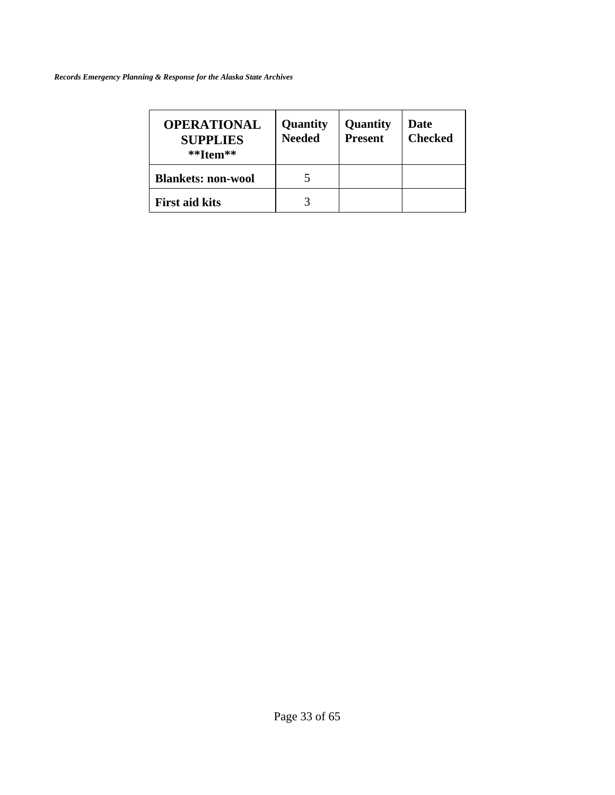| <b>OPERATIONAL</b><br><b>SUPPLIES</b><br>$*$ <sup>*</sup> Item** | Quantity<br><b>Needed</b> | Quantity<br><b>Present</b> | Date<br><b>Checked</b> |
|------------------------------------------------------------------|---------------------------|----------------------------|------------------------|
| <b>Blankets: non-wool</b>                                        |                           |                            |                        |
| <b>First aid kits</b>                                            |                           |                            |                        |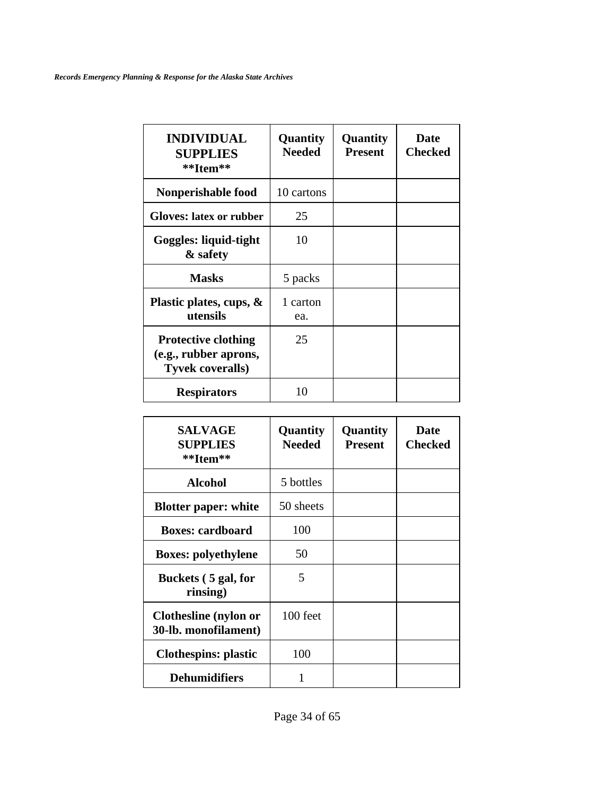| <b>INDIVIDUAL</b><br><b>SUPPLIES</b><br>**Item**                               | Quantity<br><b>Needed</b> | Quantity<br><b>Present</b> | Date<br><b>Checked</b> |
|--------------------------------------------------------------------------------|---------------------------|----------------------------|------------------------|
| Nonperishable food                                                             | 10 cartons                |                            |                        |
| <b>Gloves: latex or rubber</b>                                                 | 25                        |                            |                        |
| Goggles: liquid-tight<br>& safety                                              | 10                        |                            |                        |
| <b>Masks</b>                                                                   | 5 packs                   |                            |                        |
| Plastic plates, cups, &<br>utensils                                            | 1 carton<br>ea.           |                            |                        |
| <b>Protective clothing</b><br>(e.g., rubber aprons,<br><b>Tyvek coveralls)</b> | 25                        |                            |                        |
| <b>Respirators</b>                                                             | 10                        |                            |                        |

| <b>SALVAGE</b><br><b>SUPPLIES</b><br>**Item**        | <b>Quantity</b><br><b>Needed</b> | Quantity<br><b>Present</b> | <b>Date</b><br><b>Checked</b> |
|------------------------------------------------------|----------------------------------|----------------------------|-------------------------------|
| <b>Alcohol</b>                                       | 5 bottles                        |                            |                               |
| <b>Blotter paper: white</b>                          | 50 sheets                        |                            |                               |
| <b>Boxes: cardboard</b>                              | 100                              |                            |                               |
| <b>Boxes: polyethylene</b>                           | 50                               |                            |                               |
| Buckets (5 gal, for<br>rinsing)                      | 5                                |                            |                               |
| <b>Clothesline</b> (nylon or<br>30-lb. monofilament) | 100 feet                         |                            |                               |
| <b>Clothespins: plastic</b>                          | 100                              |                            |                               |
| <b>Dehumidifiers</b>                                 | 1                                |                            |                               |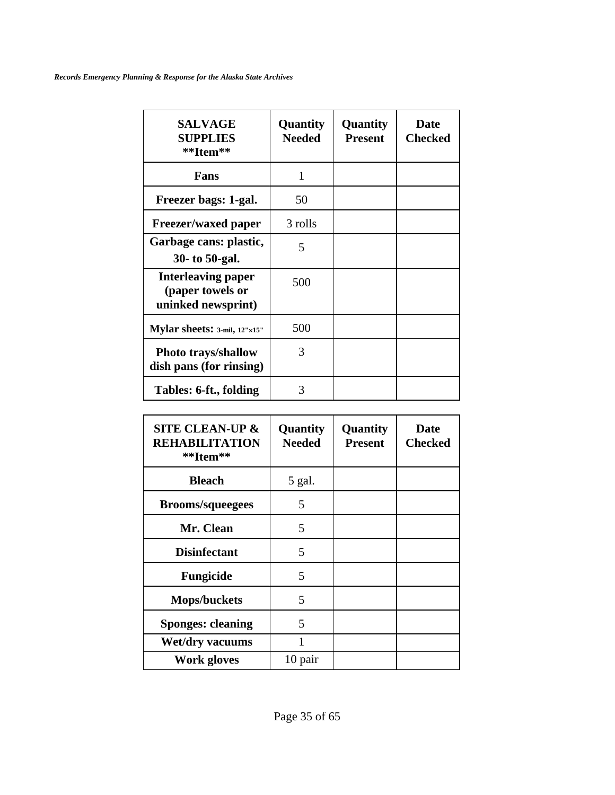| <b>SALVAGE</b><br><b>SUPPLIES</b><br>**Item**                       | <b>Quantity</b><br><b>Needed</b> | Quantity<br><b>Present</b> | Date<br><b>Checked</b> |
|---------------------------------------------------------------------|----------------------------------|----------------------------|------------------------|
| Fans                                                                | 1                                |                            |                        |
| Freezer bags: 1-gal.                                                | 50                               |                            |                        |
| Freezer/waxed paper                                                 | 3 rolls                          |                            |                        |
| Garbage cans: plastic,<br>30- to 50-gal.                            | 5                                |                            |                        |
| <b>Interleaving paper</b><br>(paper towels or<br>uninked newsprint) | 500                              |                            |                        |
| Mylar sheets: $3$ -mil, $12" \times 15"$                            | 500                              |                            |                        |
| <b>Photo trays/shallow</b><br>dish pans (for rinsing)               | 3                                |                            |                        |
| Tables: 6-ft., folding                                              | 3                                |                            |                        |

| <b>SITE CLEAN-UP &amp;</b><br><b>REHABILITATION</b><br>**Item** | Quantity<br><b>Needed</b> | Quantity<br><b>Present</b> | <b>Date</b><br><b>Checked</b> |
|-----------------------------------------------------------------|---------------------------|----------------------------|-------------------------------|
| <b>Bleach</b>                                                   | 5 gal.                    |                            |                               |
| <b>Brooms/squeegees</b>                                         | 5                         |                            |                               |
| Mr. Clean                                                       | 5                         |                            |                               |
| <b>Disinfectant</b>                                             | 5                         |                            |                               |
| <b>Fungicide</b>                                                | 5                         |                            |                               |
| <b>Mops/buckets</b>                                             | 5                         |                            |                               |
| <b>Sponges: cleaning</b>                                        | 5                         |                            |                               |
| <b>Wet/dry vacuums</b>                                          |                           |                            |                               |
| <b>Work gloves</b>                                              | 10 pair                   |                            |                               |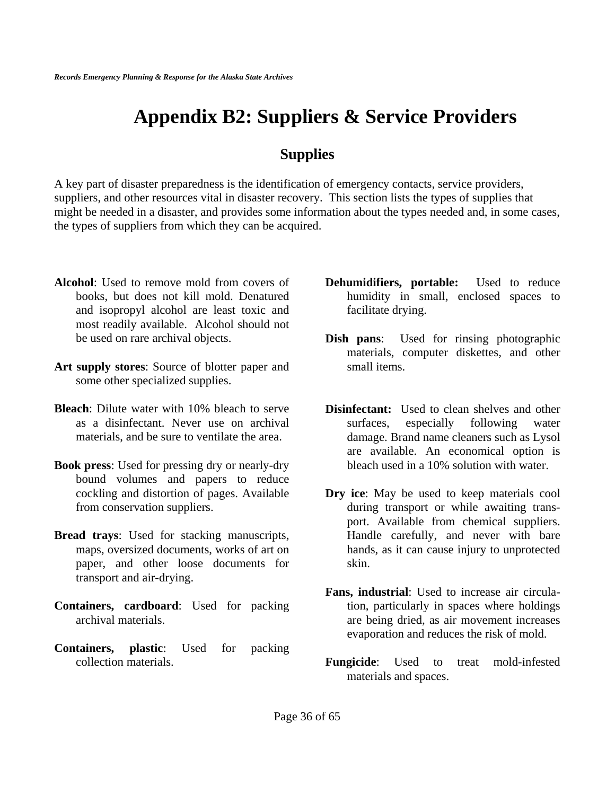# **Appendix B2: Suppliers & Service Providers**

### **Supplies**

A key part of disaster preparedness is the identification of emergency contacts, service providers, suppliers, and other resources vital in disaster recovery. This section lists the types of supplies that might be needed in a disaster, and provides some information about the types needed and, in some cases, the types of suppliers from which they can be acquired.

- **Alcohol**: Used to remove mold from covers of books, but does not kill mold. Denatured and isopropyl alcohol are least toxic and most readily available. Alcohol should not be used on rare archival objects.
- **Art supply stores**: Source of blotter paper and some other specialized supplies.
- **Bleach**: Dilute water with 10% bleach to serve as a disinfectant. Never use on archival materials, and be sure to ventilate the area.
- **Book press**: Used for pressing dry or nearly-dry bound volumes and papers to reduce cockling and distortion of pages. Available from conservation suppliers.
- **Bread trays**: Used for stacking manuscripts, maps, oversized documents, works of art on paper, and other loose documents for transport and air-drying.
- **Containers, cardboard**: Used for packing archival materials.
- **Containers, plastic**: Used for packing collection materials.
- **Dehumidifiers, portable:** Used to reduce humidity in small, enclosed spaces to facilitate drying.
- **Dish pans**: Used for rinsing photographic materials, computer diskettes, and other small items.
- **Disinfectant:** Used to clean shelves and other surfaces, especially following water damage. Brand name cleaners such as Lysol are available. An economical option is bleach used in a 10% solution with water.
- **Dry ice**: May be used to keep materials cool during transport or while awaiting transport. Available from chemical suppliers. Handle carefully, and never with bare hands, as it can cause injury to unprotected skin.
- **Fans, industrial**: Used to increase air circulation, particularly in spaces where holdings are being dried, as air movement increases evaporation and reduces the risk of mold.
- **Fungicide**: Used to treat mold-infested materials and spaces.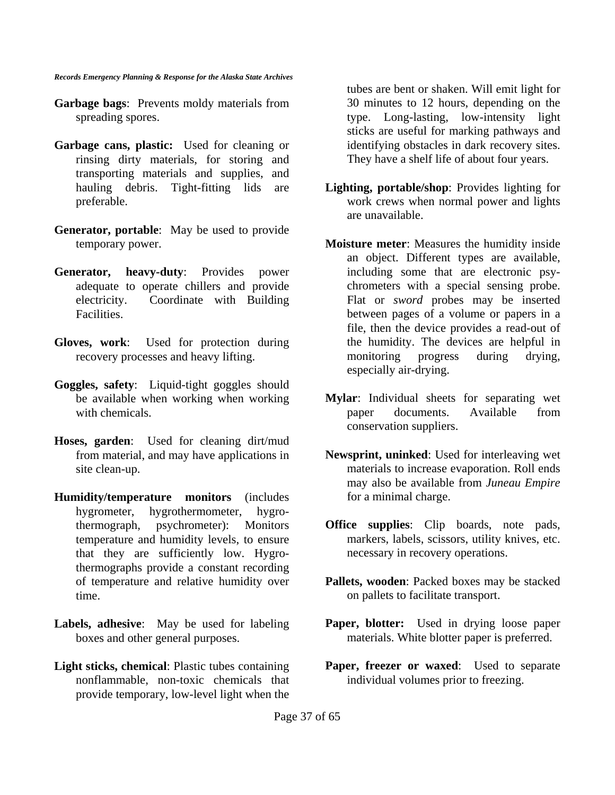- **Garbage bags**: Prevents moldy materials from spreading spores.
- **Garbage cans, plastic:** Used for cleaning or rinsing dirty materials, for storing and transporting materials and supplies, and hauling debris. Tight-fitting lids are preferable.
- **Generator, portable**: May be used to provide temporary power.
- **Generator, heavy-duty**: Provides power adequate to operate chillers and provide electricity. Coordinate with Building Facilities.
- **Gloves, work**: Used for protection during recovery processes and heavy lifting.
- **Goggles, safety**: Liquid-tight goggles should be available when working when working with chemicals.
- **Hoses, garden**: Used for cleaning dirt/mud from material, and may have applications in site clean-up.
- **Humidity/temperature monitors** (includes hygrometer, hygrothermometer, hygrothermograph, psychrometer): Monitors temperature and humidity levels, to ensure that they are sufficiently low. Hygrothermographs provide a constant recording of temperature and relative humidity over time.
- **Labels, adhesive**: May be used for labeling boxes and other general purposes.
- **Light sticks, chemical**: Plastic tubes containing nonflammable, non-toxic chemicals that provide temporary, low-level light when the

tubes are bent or shaken. Will emit light for 30 minutes to 12 hours, depending on the type. Long-lasting, low-intensity light sticks are useful for marking pathways and identifying obstacles in dark recovery sites. They have a shelf life of about four years.

- **Lighting, portable/shop**: Provides lighting for work crews when normal power and lights are unavailable.
- **Moisture meter**: Measures the humidity inside an object. Different types are available, including some that are electronic psychrometers with a special sensing probe. Flat or *sword* probes may be inserted between pages of a volume or papers in a file, then the device provides a read-out of the humidity. The devices are helpful in monitoring progress during drying, especially air-drying.
- **Mylar**: Individual sheets for separating wet paper documents. Available from conservation suppliers.
- **Newsprint, uninked**: Used for interleaving wet materials to increase evaporation. Roll ends may also be available from *Juneau Empire* for a minimal charge.
- **Office supplies**: Clip boards, note pads, markers, labels, scissors, utility knives, etc. necessary in recovery operations.
- **Pallets, wooden**: Packed boxes may be stacked on pallets to facilitate transport.
- Paper, blotter: Used in drying loose paper materials. White blotter paper is preferred.
- **Paper, freezer or waxed:** Used to separate individual volumes prior to freezing.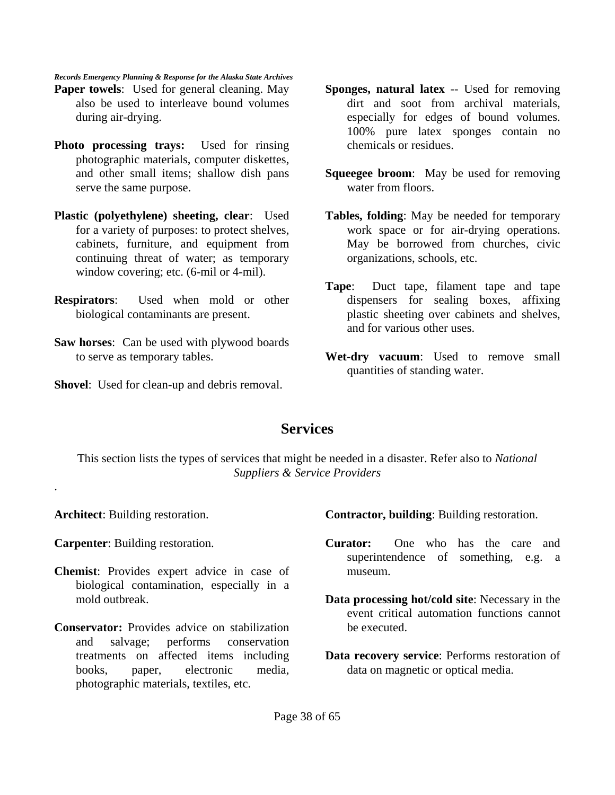- **Paper towels**: Used for general cleaning. May also be used to interleave bound volumes during air-drying.
- **Photo processing trays:** Used for rinsing photographic materials, computer diskettes, and other small items; shallow dish pans serve the same purpose.
- **Plastic (polyethylene) sheeting, clear**: Used for a variety of purposes: to protect shelves, cabinets, furniture, and equipment from continuing threat of water; as temporary window covering; etc. (6-mil or 4-mil).
- **Respirators**: Used when mold or other biological contaminants are present.
- **Saw horses**: Can be used with plywood boards to serve as temporary tables.
- **Shovel**: Used for clean-up and debris removal.
- **Sponges, natural latex** -- Used for removing dirt and soot from archival materials, especially for edges of bound volumes. 100% pure latex sponges contain no chemicals or residues.
- **Squeegee broom**: May be used for removing water from floors.
- **Tables, folding**: May be needed for temporary work space or for air-drying operations. May be borrowed from churches, civic organizations, schools, etc.
- **Tape**: Duct tape, filament tape and tape dispensers for sealing boxes, affixing plastic sheeting over cabinets and shelves, and for various other uses.
- **Wet-dry vacuum**: Used to remove small quantities of standing water.

### **Services**

This section lists the types of services that might be needed in a disaster. Refer also to *National Suppliers & Service Providers*

**Architect**: Building restoration.

.

**Carpenter**: Building restoration.

- **Chemist**: Provides expert advice in case of biological contamination, especially in a mold outbreak.
- **Conservator:** Provides advice on stabilization and salvage; performs conservation treatments on affected items including books, paper, electronic media, photographic materials, textiles, etc.

**Contractor, building**: Building restoration.

- **Curator:** One who has the care and superintendence of something, e.g. a museum.
- **Data processing hot/cold site**: Necessary in the event critical automation functions cannot be executed.
- **Data recovery service**: Performs restoration of data on magnetic or optical media.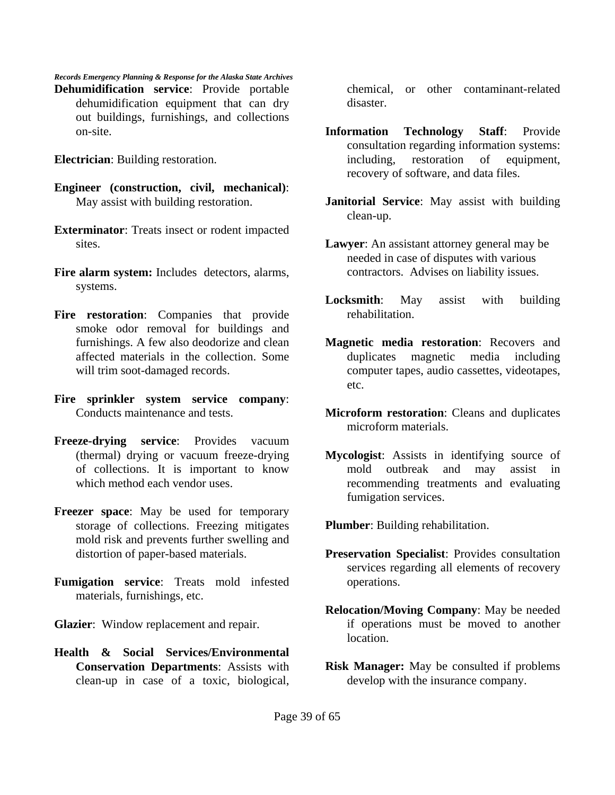*Records Emergency Planning & Response for the Alaska State Archives* **Dehumidification service**: Provide portable dehumidification equipment that can dry out buildings, furnishings, and collections on-site.

**Electrician**: Building restoration.

- **Engineer (construction, civil, mechanical)**: May assist with building restoration.
- **Exterminator**: Treats insect or rodent impacted sites.
- **Fire alarm system:** Includes detectors, alarms, systems.
- **Fire restoration**: Companies that provide smoke odor removal for buildings and furnishings. A few also deodorize and clean affected materials in the collection. Some will trim soot-damaged records.
- **Fire sprinkler system service company**: Conducts maintenance and tests.
- **Freeze-drying service**: Provides vacuum (thermal) drying or vacuum freeze-drying of collections. It is important to know which method each vendor uses.
- **Freezer space**: May be used for temporary storage of collections. Freezing mitigates mold risk and prevents further swelling and distortion of paper-based materials.
- **Fumigation service**: Treats mold infested materials, furnishings, etc.

**Glazier**: Window replacement and repair.

**Health & Social Services/Environmental Conservation Departments**: Assists with clean-up in case of a toxic, biological, chemical, or other contaminant-related disaster.

- **Information Technology Staff**: Provide consultation regarding information systems: including, restoration of equipment, recovery of software, and data files.
- **Janitorial Service**: May assist with building clean-up.
- **Lawyer**: An assistant attorney general may be needed in case of disputes with various contractors. Advises on liability issues.
- **Locksmith**: May assist with building rehabilitation.
- **Magnetic media restoration**: Recovers and duplicates magnetic media including computer tapes, audio cassettes, videotapes, etc.
- **Microform restoration**: Cleans and duplicates microform materials.
- **Mycologist**: Assists in identifying source of mold outbreak and may assist in recommending treatments and evaluating fumigation services.

**Plumber**: Building rehabilitation.

- **Preservation Specialist**: Provides consultation services regarding all elements of recovery operations.
- **Relocation/Moving Company**: May be needed if operations must be moved to another location.
- **Risk Manager:** May be consulted if problems develop with the insurance company.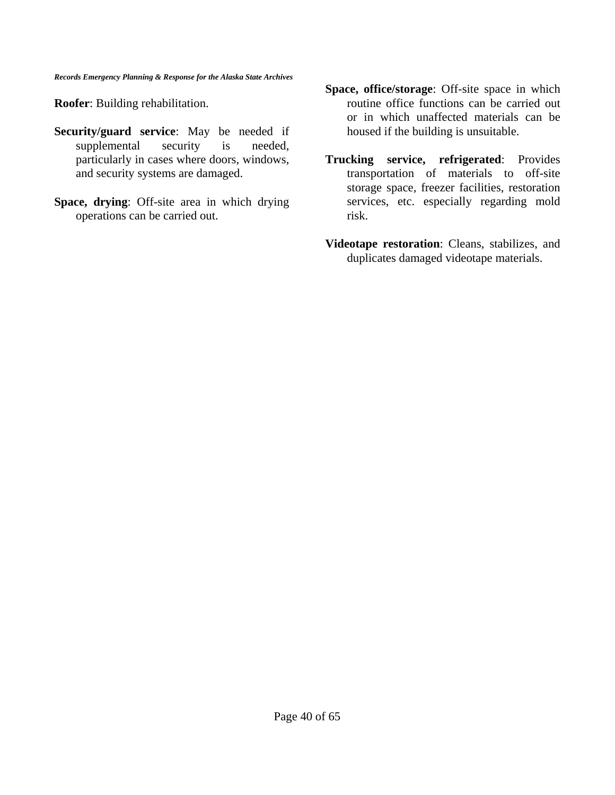**Roofer**: Building rehabilitation.

- **Security/guard service**: May be needed if supplemental security is needed, particularly in cases where doors, windows, and security systems are damaged.
- **Space, drying**: Off-site area in which drying operations can be carried out.
- **Space, office/storage**: Off-site space in which routine office functions can be carried out or in which unaffected materials can be housed if the building is unsuitable.
- **Trucking service, refrigerated**: Provides transportation of materials to off-site storage space, freezer facilities, restoration services, etc. especially regarding mold risk.
- **Videotape restoration**: Cleans, stabilizes, and duplicates damaged videotape materials.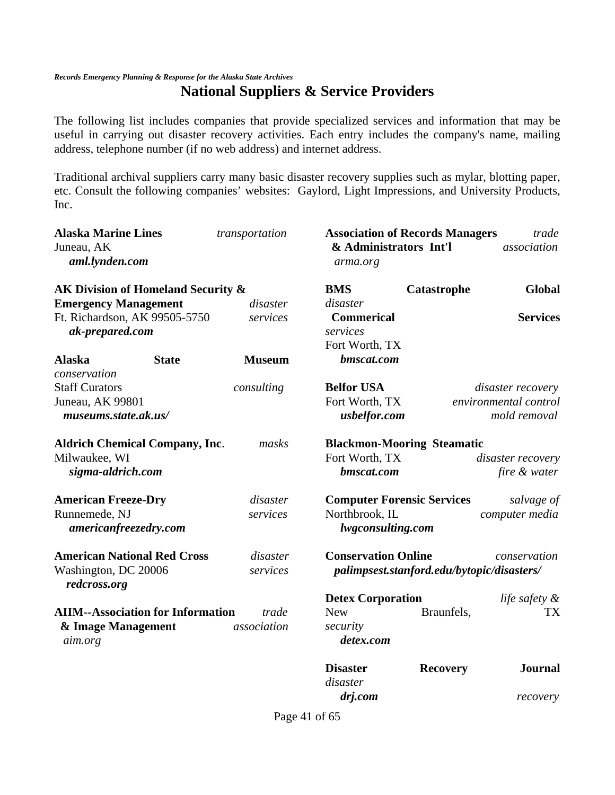### **National Suppliers & Service Providers**

The following list includes companies that provide specialized services and information that may be useful in carrying out disaster recovery activities. Each entry includes the company's name, mailing address, telephone number (if no web address) and internet address.

Traditional archival suppliers carry many basic disaster recovery supplies such as mylar, blotting paper, etc. Consult the following companies' websites: Gaylord, Light Impressions, and University Products, Inc.

| <b>Alaska Marine Lines</b>               | transportation | <b>Association of Records Managers</b> |                                            | trade                 |
|------------------------------------------|----------------|----------------------------------------|--------------------------------------------|-----------------------|
| Juneau, AK<br>aml.lynden.com             |                | & Administrators Int'l<br>arma.org     |                                            | association           |
| AK Division of Homeland Security &       |                | <b>BMS</b>                             | Catastrophe                                | <b>Global</b>         |
| <b>Emergency Management</b>              | disaster       | disaster                               |                                            |                       |
| Ft. Richardson, AK 99505-5750            | services       | <b>Commerical</b>                      |                                            | <b>Services</b>       |
| ak-prepared.com                          |                | services                               |                                            |                       |
|                                          |                | Fort Worth, TX                         |                                            |                       |
| <b>Alaska</b><br><b>State</b>            | <b>Museum</b>  | bmscat.com                             |                                            |                       |
| conservation                             |                |                                        |                                            |                       |
| <b>Staff Curators</b>                    | consulting     | <b>Belfor USA</b>                      |                                            | disaster recovery     |
| Juneau, AK 99801                         |                | Fort Worth, TX                         |                                            | environmental control |
| museums.state.ak.us/                     |                | usbelfor.com                           |                                            | mold removal          |
| <b>Aldrich Chemical Company, Inc.</b>    | masks          | <b>Blackmon-Mooring Steamatic</b>      |                                            |                       |
| Milwaukee, WI                            |                | Fort Worth, TX                         |                                            | disaster recovery     |
| sigma-aldrich.com                        |                | bmscat.com                             |                                            | fire & water          |
| <b>American Freeze-Dry</b>               | disaster       | <b>Computer Forensic Services</b>      |                                            | salvage of            |
| Runnemede, NJ                            | services       | Northbrook, IL                         |                                            | computer media        |
| americanfreezedry.com                    |                | lwgconsulting.com                      |                                            |                       |
| <b>American National Red Cross</b>       | disaster       | <b>Conservation Online</b>             |                                            | conservation          |
| Washington, DC 20006<br>redcross.org     | services       |                                        | palimpsest.stanford.edu/bytopic/disasters/ |                       |
|                                          |                | <b>Detex Corporation</b>               |                                            | life safety &         |
| <b>AIIM--Association for Information</b> | trade          | <b>New</b>                             | Braunfels,                                 | TX                    |
| & Image Management                       | association    | security                               |                                            |                       |
| aim.org                                  |                | detex.com                              |                                            |                       |
|                                          |                | <b>Disaster</b>                        | <b>Recovery</b>                            | <b>Journal</b>        |
|                                          |                | disaster                               |                                            |                       |
|                                          |                | drj.com                                |                                            | recovery              |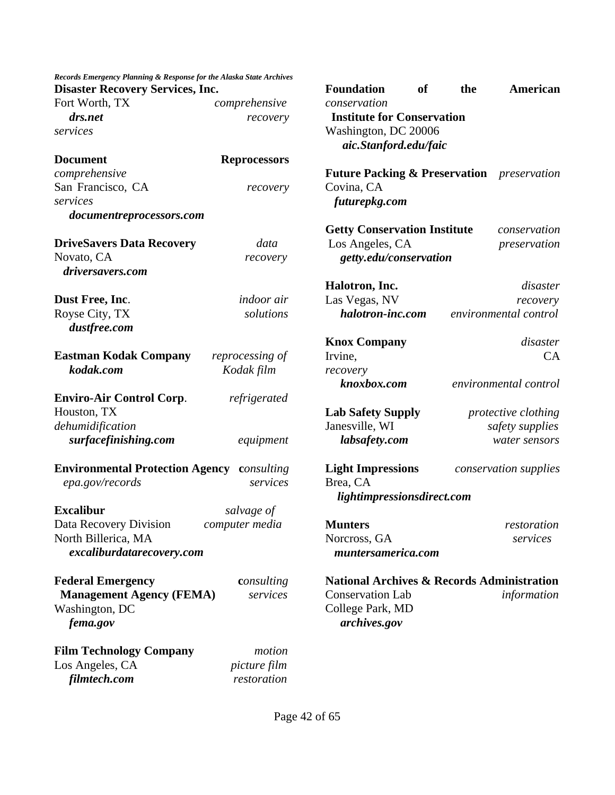| Records Emergency Planning & Response for the Alaska State Archives<br><b>Disaster Recovery Services, Inc.</b> |                     |
|----------------------------------------------------------------------------------------------------------------|---------------------|
| Fort Worth, TX                                                                                                 | comprehensive       |
| drs.net                                                                                                        | recovery            |
| services                                                                                                       |                     |
| <b>Document</b>                                                                                                | <b>Reprocessors</b> |
| comprehensive                                                                                                  |                     |
| San Francisco, CA                                                                                              | recovery            |
| services                                                                                                       |                     |
| documentreprocessors.com                                                                                       |                     |
| <b>DriveSavers Data Recovery</b>                                                                               | data                |
| Novato, CA                                                                                                     | recovery            |
| driversavers.com                                                                                               |                     |
| Dust Free, Inc.                                                                                                | indoor air          |
| Royse City, TX                                                                                                 | solutions           |
| dustfree.com                                                                                                   |                     |
| <b>Eastman Kodak Company</b>                                                                                   | reprocessing of     |
| kodak.com                                                                                                      | Kodak film          |
| <b>Enviro-Air Control Corp.</b>                                                                                | refrigerated        |
| Houston, TX                                                                                                    |                     |
| dehumidification                                                                                               |                     |
| surfacefinishing.com                                                                                           | equipment           |
| <b>Environmental Protection Agency consulting</b>                                                              |                     |
| epa.gov/records                                                                                                | services            |
| <b>Excalibur</b>                                                                                               | salvage of          |
| Data Recovery Division                                                                                         | computer media      |
| North Billerica, MA                                                                                            |                     |
| excaliburdatarecovery.com                                                                                      |                     |
| <b>Federal Emergency</b>                                                                                       | consulting          |
| <b>Management Agency (FEMA)</b>                                                                                | services            |
| Washington, DC                                                                                                 |                     |
| fema.gov                                                                                                       |                     |
| <b>Film Technology Company</b>                                                                                 | motion              |
| Los Angeles, CA                                                                                                | <i>picture film</i> |
| filmtech.com                                                                                                   | restoration         |

| Foundation<br>conservation                                                                                | of | the | American                                                                         |
|-----------------------------------------------------------------------------------------------------------|----|-----|----------------------------------------------------------------------------------|
| <b>Institute for Conservation</b><br>Washington, DC 20006<br>aic.Stanford.edu/faic                        |    |     |                                                                                  |
| <b>Future Packing &amp; Preservation</b> preservation<br>Covina, CA<br>futurepkg.com                      |    |     |                                                                                  |
| <b>Getty Conservation Institute</b><br>Los Angeles, CA<br>getty.edu/conservation                          |    |     | conservation<br>preservation                                                     |
| Halotron, Inc.<br>Las Vegas, NV<br>halotron-inc.com                                                       |    |     | disaster<br>recovery<br>environmental control                                    |
| <b>Knox Company</b><br>Irvine,<br>recovery                                                                |    |     | disaster<br>CA                                                                   |
| knoxbox.com<br><b>Lab Safety Supply</b><br>Janesville, WI<br>labsafety.com                                |    |     | environmental control<br>protective clothing<br>safety supplies<br>water sensors |
| <b>Light Impressions</b><br>Brea, CA<br>lightimpressionsdirect.com                                        |    |     | conservation supplies                                                            |
| <b>Munters</b><br>Norcross, GA<br>muntersamerica.com                                                      |    |     | restoration<br>services                                                          |
| National Archives & Records Administration<br><b>Conservation Lab</b><br>College Park, MD<br>archives.gov |    |     | information                                                                      |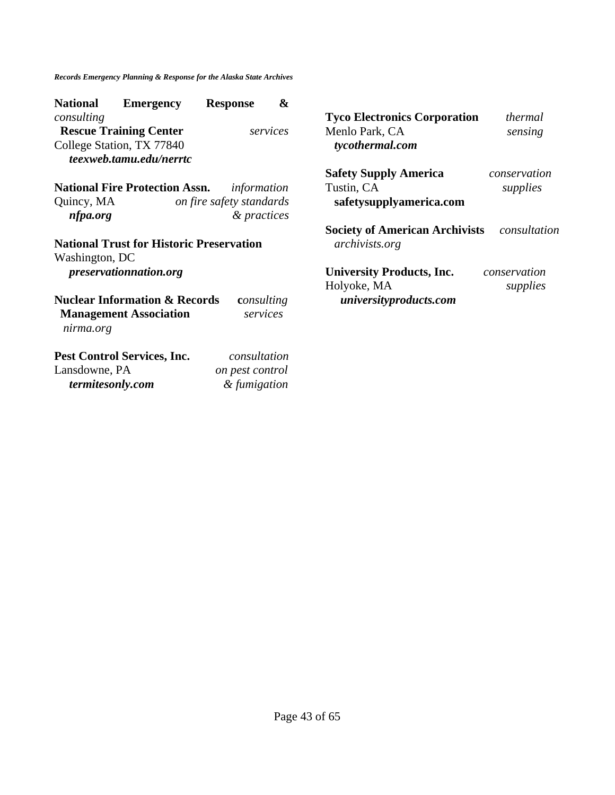| <b>National</b><br><b>Emergency</b>                  | <b>Response</b>                         | &        |                                                                |              |
|------------------------------------------------------|-----------------------------------------|----------|----------------------------------------------------------------|--------------|
| consulting                                           |                                         |          | <b>Tyco Electronics Corporation</b>                            | thermal      |
| <b>Rescue Training Center</b>                        |                                         | services | Menlo Park, CA                                                 | sensing      |
| College Station, TX 77840<br>teexweb.tamu.edu/nerrtc |                                         |          | tycothermal.com                                                |              |
|                                                      |                                         |          | <b>Safety Supply America</b>                                   | conservation |
| <b>National Fire Protection Assn.</b>                | information                             |          | Tustin, CA                                                     | supplies     |
| Quincy, MA<br>nfpa.org                               | on fire safety standards<br>& practices |          | safetysupplyamerica.com                                        |              |
| <b>National Trust for Historic Preservation</b>      |                                         |          | <b>Society of American Archivists</b><br><i>archivists.org</i> | consultation |
| Washington, DC                                       |                                         |          |                                                                |              |
| <i>preservationnation.org</i>                        |                                         |          | <b>University Products, Inc.</b>                               | conservation |
|                                                      |                                         |          | Holyoke, MA                                                    | supplies     |
| <b>Nuclear Information &amp; Records</b>             | consulting                              |          | universityproducts.com                                         |              |
| <b>Management Association</b><br>nirma.org           | services                                |          |                                                                |              |
| Pest Control Services, Inc.                          | consultation                            |          |                                                                |              |
| Lansdowne, PA                                        | on pest control                         |          |                                                                |              |
| termitesonly.com                                     | & fumigation                            |          |                                                                |              |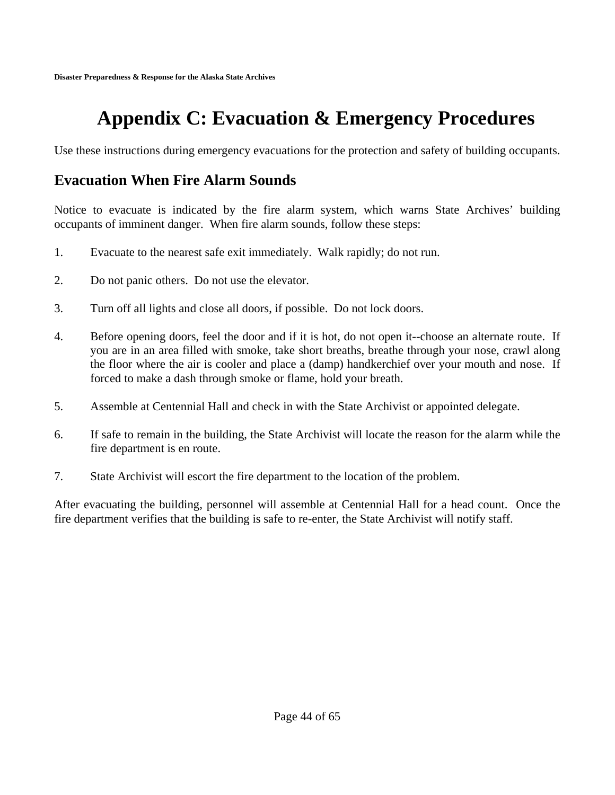# **Appendix C: Evacuation & Emergency Procedures**

Use these instructions during emergency evacuations for the protection and safety of building occupants.

### **Evacuation When Fire Alarm Sounds**

Notice to evacuate is indicated by the fire alarm system, which warns State Archives' building occupants of imminent danger. When fire alarm sounds, follow these steps:

- 1. Evacuate to the nearest safe exit immediately. Walk rapidly; do not run.
- 2. Do not panic others. Do not use the elevator.
- 3. Turn off all lights and close all doors, if possible. Do not lock doors.
- 4. Before opening doors, feel the door and if it is hot, do not open it--choose an alternate route. If you are in an area filled with smoke, take short breaths, breathe through your nose, crawl along the floor where the air is cooler and place a (damp) handkerchief over your mouth and nose. If forced to make a dash through smoke or flame, hold your breath.
- 5. Assemble at Centennial Hall and check in with the State Archivist or appointed delegate.
- 6. If safe to remain in the building, the State Archivist will locate the reason for the alarm while the fire department is en route.
- 7. State Archivist will escort the fire department to the location of the problem.

After evacuating the building, personnel will assemble at Centennial Hall for a head count. Once the fire department verifies that the building is safe to re-enter, the State Archivist will notify staff.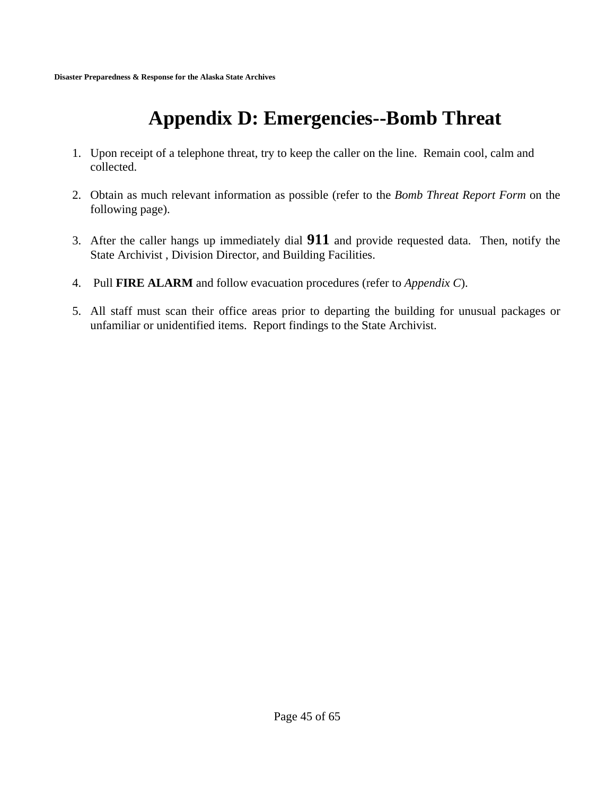# **Appendix D: Emergencies--Bomb Threat**

- 1. Upon receipt of a telephone threat, try to keep the caller on the line. Remain cool, calm and collected.
- 2. Obtain as much relevant information as possible (refer to the *Bomb Threat Report Form* on the following page).
- 3. After the caller hangs up immediately dial **911** and provide requested data. Then, notify the State Archivist , Division Director, and Building Facilities.
- 4. Pull **FIRE ALARM** and follow evacuation procedures (refer to *Appendix C*).
- 5. All staff must scan their office areas prior to departing the building for unusual packages or unfamiliar or unidentified items. Report findings to the State Archivist.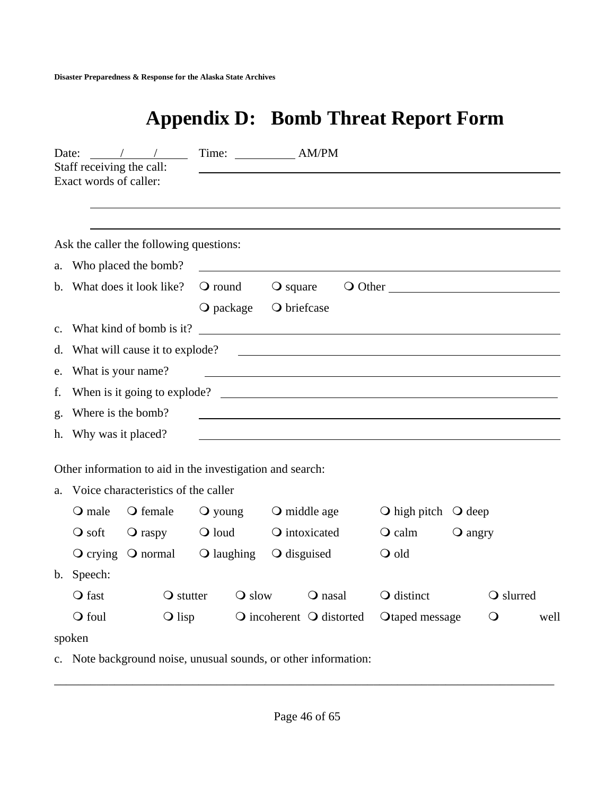# **Appendix D: Bomb Threat Report Form**

| Date:       | Staff receiving the call:<br>Exact words of caller: |                                                                 | Time: AM/PM            |                                            |                                                                                                                       |         |            |      |
|-------------|-----------------------------------------------------|-----------------------------------------------------------------|------------------------|--------------------------------------------|-----------------------------------------------------------------------------------------------------------------------|---------|------------|------|
|             |                                                     |                                                                 |                        |                                            |                                                                                                                       |         |            |      |
|             |                                                     | Ask the caller the following questions:                         |                        |                                            |                                                                                                                       |         |            |      |
|             |                                                     | a. Who placed the bomb?                                         |                        |                                            |                                                                                                                       |         |            |      |
|             |                                                     | b. What does it look like?                                      | $\mathbf{\odot}$ round | $\overline{Q}$ square                      | $\bigcirc$ Other                                                                                                      |         |            |      |
|             |                                                     |                                                                 | $\bigcirc$ package     | O briefcase                                |                                                                                                                       |         |            |      |
| $c_{\cdot}$ |                                                     |                                                                 |                        |                                            | What kind of bomb is it?                                                                                              |         |            |      |
|             |                                                     | d. What will cause it to explode?                               |                        |                                            | <u> 1989 - Johann Stein, mars and de Branch and de Branch and de Branch and de Branch and de Branch and de Branch</u> |         |            |      |
| e.          | What is your name?                                  |                                                                 |                        |                                            | <u> 1980 - Johann Stoff, deutscher Stoff, der Stoff, der Stoff, der Stoff, der Stoff, der Stoff, der Stoff, der S</u> |         |            |      |
| f.          |                                                     |                                                                 |                        |                                            | When is it going to explode?                                                                                          |         |            |      |
| g.          | Where is the bomb?                                  |                                                                 |                        |                                            |                                                                                                                       |         |            |      |
|             | h. Why was it placed?                               |                                                                 |                        |                                            |                                                                                                                       |         |            |      |
|             |                                                     | Other information to aid in the investigation and search:       |                        |                                            |                                                                                                                       |         |            |      |
|             |                                                     | a. Voice characteristics of the caller                          |                        |                                            |                                                                                                                       |         |            |      |
|             | $\mathbf{\odot}$ male                               | O female                                                        | $\mathbf{\odot}$ young | $\bigcirc$ middle age                      | $\bigcirc$ high pitch $\bigcirc$ deep                                                                                 |         |            |      |
|             | $\overline{Q}$ soft                                 | $\bigcirc$ raspy                                                | $\bigcirc$ loud        | O intoxicated                              | $\mathsf{Q}$ calm                                                                                                     | O angry |            |      |
|             |                                                     | $\overline{Q}$ crying $\overline{Q}$ normal                     | $\bigcirc$ laughing    | $\bigcirc$ disguised                       | O old                                                                                                                 |         |            |      |
|             | b. Speech:                                          |                                                                 |                        |                                            |                                                                                                                       |         |            |      |
|             | $\bigcirc$ fast                                     | $\bigcirc$ stutter                                              | $\bigcirc$ slow        | $\bigcirc$ nasal                           | O distinct                                                                                                            |         | O slurred  |      |
|             | O foul                                              | $\bigcirc$ lisp                                                 |                        | $\bigcirc$ incoherent $\bigcirc$ distorted | Otaped message                                                                                                        |         | $\bigcirc$ | well |
|             | spoken                                              |                                                                 |                        |                                            |                                                                                                                       |         |            |      |
|             |                                                     | c. Note background noise, unusual sounds, or other information: |                        |                                            |                                                                                                                       |         |            |      |

\_\_\_\_\_\_\_\_\_\_\_\_\_\_\_\_\_\_\_\_\_\_\_\_\_\_\_\_\_\_\_\_\_\_\_\_\_\_\_\_\_\_\_\_\_\_\_\_\_\_\_\_\_\_\_\_\_\_\_\_\_\_\_\_\_\_\_\_\_\_\_\_\_\_\_\_\_\_\_\_\_\_\_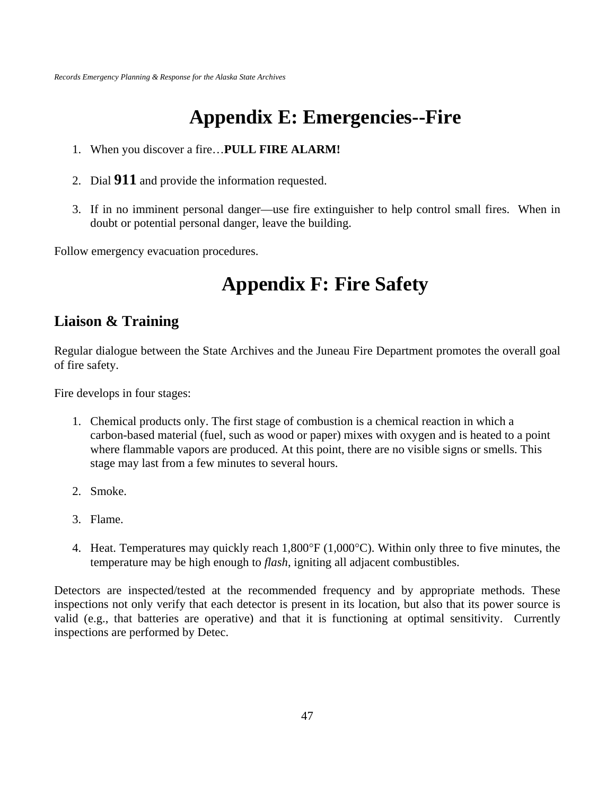## **Appendix E: Emergencies--Fire**

- 1. When you discover a fire…**PULL FIRE ALARM!**
- 2. Dial **911** and provide the information requested.
- 3. If in no imminent personal danger—use fire extinguisher to help control small fires. When in doubt or potential personal danger, leave the building.

Follow emergency evacuation procedures.

## **Appendix F: Fire Safety**

### **Liaison & Training**

Regular dialogue between the State Archives and the Juneau Fire Department promotes the overall goal of fire safety.

Fire develops in four stages:

- 1. Chemical products only. The first stage of combustion is a chemical reaction in which a carbon-based material (fuel, such as wood or paper) mixes with oxygen and is heated to a point where flammable vapors are produced. At this point, there are no visible signs or smells. This stage may last from a few minutes to several hours.
- 2. Smoke.
- 3. Flame.
- 4. Heat. Temperatures may quickly reach 1,800°F (1,000°C). Within only three to five minutes, the temperature may be high enough to *flash*, igniting all adjacent combustibles.

Detectors are inspected/tested at the recommended frequency and by appropriate methods. These inspections not only verify that each detector is present in its location, but also that its power source is valid (e.g., that batteries are operative) and that it is functioning at optimal sensitivity. Currently inspections are performed by Detec.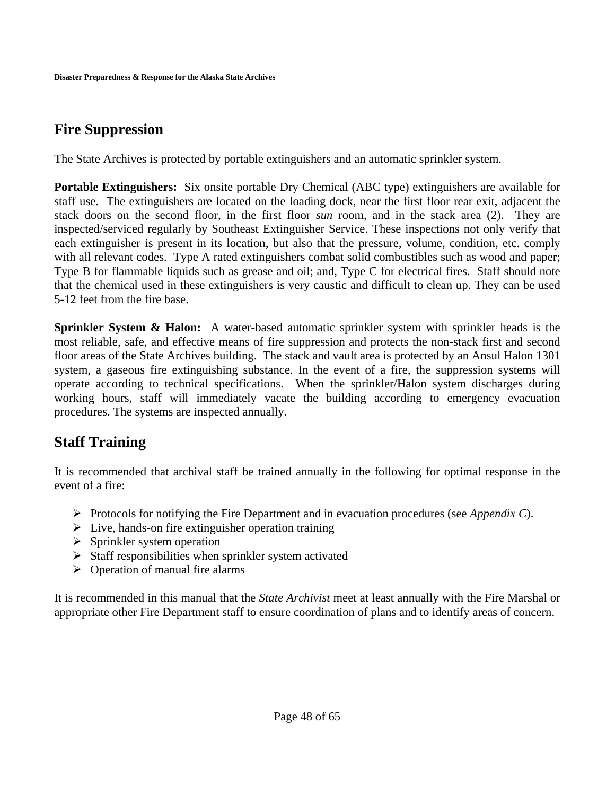## **Fire Suppression**

The State Archives is protected by portable extinguishers and an automatic sprinkler system.

**Portable Extinguishers:** Six onsite portable Dry Chemical (ABC type) extinguishers are available for staff use. The extinguishers are located on the loading dock, near the first floor rear exit, adjacent the stack doors on the second floor, in the first floor *sun* room, and in the stack area (2). They are inspected/serviced regularly by Southeast Extinguisher Service. These inspections not only verify that each extinguisher is present in its location, but also that the pressure, volume, condition, etc. comply with all relevant codes. Type A rated extinguishers combat solid combustibles such as wood and paper; Type B for flammable liquids such as grease and oil; and, Type C for electrical fires. Staff should note that the chemical used in these extinguishers is very caustic and difficult to clean up. They can be used 5-12 feet from the fire base.

**Sprinkler System & Halon:** A water-based automatic sprinkler system with sprinkler heads is the most reliable, safe, and effective means of fire suppression and protects the non-stack first and second floor areas of the State Archives building. The stack and vault area is protected by an Ansul Halon 1301 system, a gaseous fire extinguishing substance. In the event of a fire, the suppression systems will operate according to technical specifications. When the sprinkler/Halon system discharges during working hours, staff will immediately vacate the building according to emergency evacuation procedures. The systems are inspected annually.

### **Staff Training**

It is recommended that archival staff be trained annually in the following for optimal response in the event of a fire:

- ¾ Protocols for notifying the Fire Department and in evacuation procedures (see *Appendix C*).
- $\triangleright$  Live, hands-on fire extinguisher operation training
- $\triangleright$  Sprinkler system operation
- $\triangleright$  Staff responsibilities when sprinkler system activated
- $\triangleright$  Operation of manual fire alarms

It is recommended in this manual that the *State Archivist* meet at least annually with the Fire Marshal or appropriate other Fire Department staff to ensure coordination of plans and to identify areas of concern.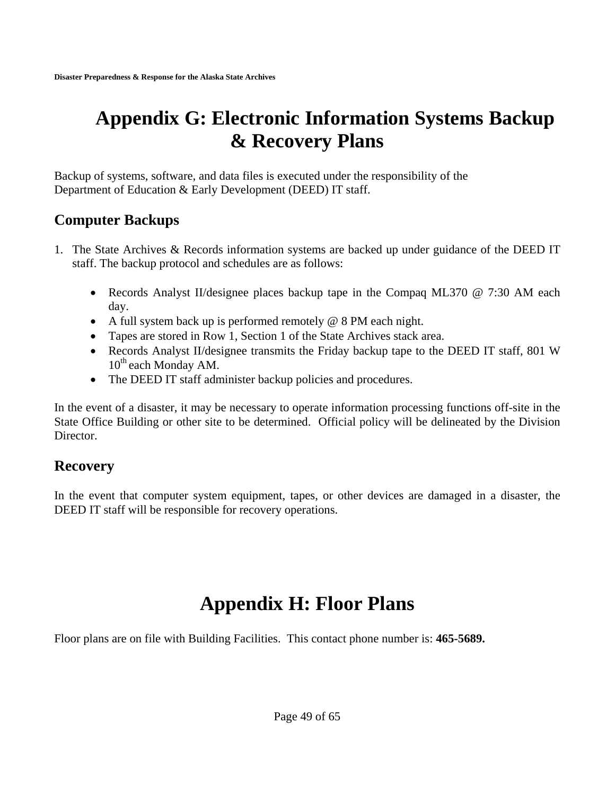## **Appendix G: Electronic Information Systems Backup & Recovery Plans**

Backup of systems, software, and data files is executed under the responsibility of the Department of Education & Early Development (DEED) IT staff.

### **Computer Backups**

- 1. The State Archives & Records information systems are backed up under guidance of the DEED IT staff. The backup protocol and schedules are as follows:
	- Records Analyst II/designee places backup tape in the Compaq ML370 @ 7:30 AM each day.
	- A full system back up is performed remotely @ 8 PM each night.
	- Tapes are stored in Row 1, Section 1 of the State Archives stack area.
	- Records Analyst II/designee transmits the Friday backup tape to the DEED IT staff, 801 W  $10^{th}$  each Monday AM.
	- The DEED IT staff administer backup policies and procedures.

In the event of a disaster, it may be necessary to operate information processing functions off-site in the State Office Building or other site to be determined. Official policy will be delineated by the Division Director.

### **Recovery**

In the event that computer system equipment, tapes, or other devices are damaged in a disaster, the DEED IT staff will be responsible for recovery operations.

# **Appendix H: Floor Plans**

Floor plans are on file with Building Facilities. This contact phone number is: **465-5689.**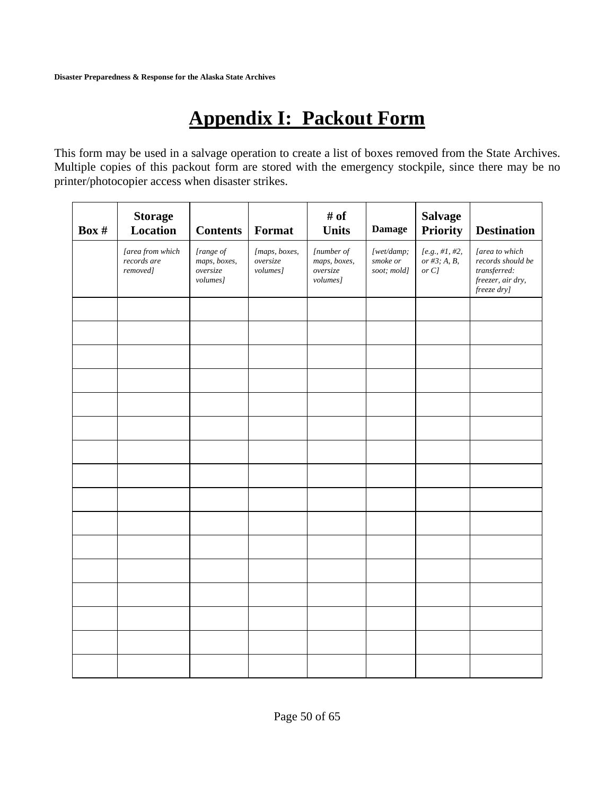**Disaster Preparedness & Response for the Alaska State Archives** 

# **Appendix I: Packout Form**

This form may be used in a salvage operation to create a list of boxes removed from the State Archives. Multiple copies of this packout form are stored with the emergency stockpile, since there may be no printer/photocopier access when disaster strikes.

| Box # | <b>Storage</b><br>Location                  | <b>Contents</b>                                   | Format                                | # of<br><b>Units</b>                               | <b>Damage</b>                         | <b>Salvage</b><br><b>Priority</b>                                              | <b>Destination</b>                                                                      |
|-------|---------------------------------------------|---------------------------------------------------|---------------------------------------|----------------------------------------------------|---------------------------------------|--------------------------------------------------------------------------------|-----------------------------------------------------------------------------------------|
|       | [area from which<br>records are<br>removed] | [range of<br>maps, boxes,<br>oversize<br>volumes] | [maps, boxes,<br>oversize<br>volumes] | [number of<br>maps, boxes,<br>oversize<br>volumes] | [wet/damp;<br>smoke or<br>soot; mold] | ${[\,\textit{e.g.},\,\textit{\#1},\,\textit{\#2},\,}$<br>or #3; A, B,<br>or C] | [area to which<br>records should be<br>transferred:<br>freezer, air dry,<br>freeze dry] |
|       |                                             |                                                   |                                       |                                                    |                                       |                                                                                |                                                                                         |
|       |                                             |                                                   |                                       |                                                    |                                       |                                                                                |                                                                                         |
|       |                                             |                                                   |                                       |                                                    |                                       |                                                                                |                                                                                         |
|       |                                             |                                                   |                                       |                                                    |                                       |                                                                                |                                                                                         |
|       |                                             |                                                   |                                       |                                                    |                                       |                                                                                |                                                                                         |
|       |                                             |                                                   |                                       |                                                    |                                       |                                                                                |                                                                                         |
|       |                                             |                                                   |                                       |                                                    |                                       |                                                                                |                                                                                         |
|       |                                             |                                                   |                                       |                                                    |                                       |                                                                                |                                                                                         |
|       |                                             |                                                   |                                       |                                                    |                                       |                                                                                |                                                                                         |
|       |                                             |                                                   |                                       |                                                    |                                       |                                                                                |                                                                                         |
|       |                                             |                                                   |                                       |                                                    |                                       |                                                                                |                                                                                         |
|       |                                             |                                                   |                                       |                                                    |                                       |                                                                                |                                                                                         |
|       |                                             |                                                   |                                       |                                                    |                                       |                                                                                |                                                                                         |
|       |                                             |                                                   |                                       |                                                    |                                       |                                                                                |                                                                                         |
|       |                                             |                                                   |                                       |                                                    |                                       |                                                                                |                                                                                         |
|       |                                             |                                                   |                                       |                                                    |                                       |                                                                                |                                                                                         |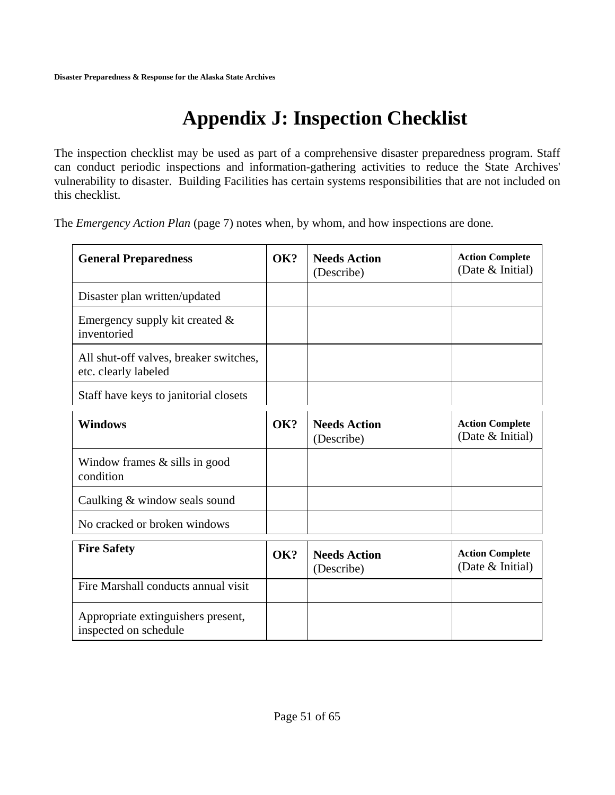# **Appendix J: Inspection Checklist**

The inspection checklist may be used as part of a comprehensive disaster preparedness program. Staff can conduct periodic inspections and information-gathering activities to reduce the State Archives' vulnerability to disaster. Building Facilities has certain systems responsibilities that are not included on this checklist.

The *Emergency Action Plan* (page 7) notes when, by whom, and how inspections are done*.* 

| <b>General Preparedness</b>                                    | OK? | <b>Needs Action</b><br>(Describe) | <b>Action Complete</b><br>(Date & Initial) |
|----------------------------------------------------------------|-----|-----------------------------------|--------------------------------------------|
| Disaster plan written/updated                                  |     |                                   |                                            |
| Emergency supply kit created $&$<br>inventoried                |     |                                   |                                            |
| All shut-off valves, breaker switches,<br>etc. clearly labeled |     |                                   |                                            |
| Staff have keys to janitorial closets                          |     |                                   |                                            |
| <b>Windows</b>                                                 | OK? | <b>Needs Action</b><br>(Describe) | <b>Action Complete</b><br>(Date & Initial) |
| Window frames $\&$ sills in good<br>condition                  |     |                                   |                                            |
| Caulking & window seals sound                                  |     |                                   |                                            |
| No cracked or broken windows                                   |     |                                   |                                            |
| <b>Fire Safety</b>                                             | OK? | <b>Needs Action</b><br>(Describe) | <b>Action Complete</b><br>(Date & Initial) |
| Fire Marshall conducts annual visit                            |     |                                   |                                            |
| Appropriate extinguishers present,<br>inspected on schedule    |     |                                   |                                            |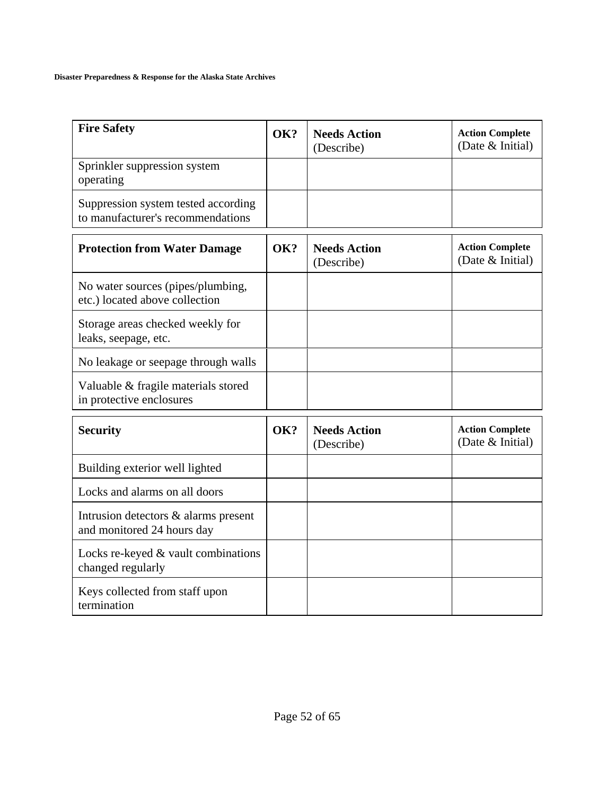#### **Disaster Preparedness & Response for the Alaska State Archives**

| <b>Fire Safety</b>                                                       | OK? | <b>Needs Action</b><br>(Describe) | <b>Action Complete</b><br>(Date & Initial)   |
|--------------------------------------------------------------------------|-----|-----------------------------------|----------------------------------------------|
| Sprinkler suppression system<br>operating                                |     |                                   |                                              |
| Suppression system tested according<br>to manufacturer's recommendations |     |                                   |                                              |
| <b>Protection from Water Damage</b>                                      | OK? | <b>Needs Action</b><br>(Describe) | <b>Action Complete</b><br>(Date $& Initial)$ |
| No water sources (pipes/plumbing,<br>etc.) located above collection      |     |                                   |                                              |
| Storage areas checked weekly for<br>leaks, seepage, etc.                 |     |                                   |                                              |
| No leakage or seepage through walls                                      |     |                                   |                                              |
| Valuable & fragile materials stored<br>in protective enclosures          |     |                                   |                                              |
| <b>Security</b>                                                          | OK? | <b>Needs Action</b><br>(Describe) | <b>Action Complete</b><br>(Date & Initial)   |
| Building exterior well lighted                                           |     |                                   |                                              |
| Locks and alarms on all doors                                            |     |                                   |                                              |
| Intrusion detectors & alarms present<br>and monitored 24 hours day       |     |                                   |                                              |
| Locks re-keyed $&$ vault combinations<br>changed regularly               |     |                                   |                                              |
| Keys collected from staff upon<br>termination                            |     |                                   |                                              |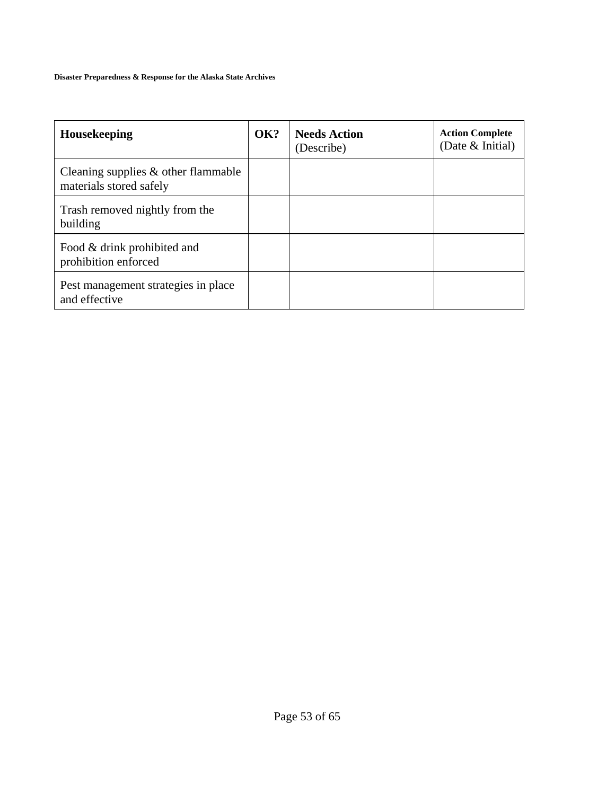#### **Disaster Preparedness & Response for the Alaska State Archives**

| Housekeeping                                                      | OK? | <b>Needs Action</b><br>(Describe) | <b>Action Complete</b><br>(Date $& Initial)$ |
|-------------------------------------------------------------------|-----|-----------------------------------|----------------------------------------------|
| Cleaning supplies $\&$ other flammable<br>materials stored safely |     |                                   |                                              |
| Trash removed nightly from the<br>building                        |     |                                   |                                              |
| Food & drink prohibited and<br>prohibition enforced               |     |                                   |                                              |
| Pest management strategies in place<br>and effective              |     |                                   |                                              |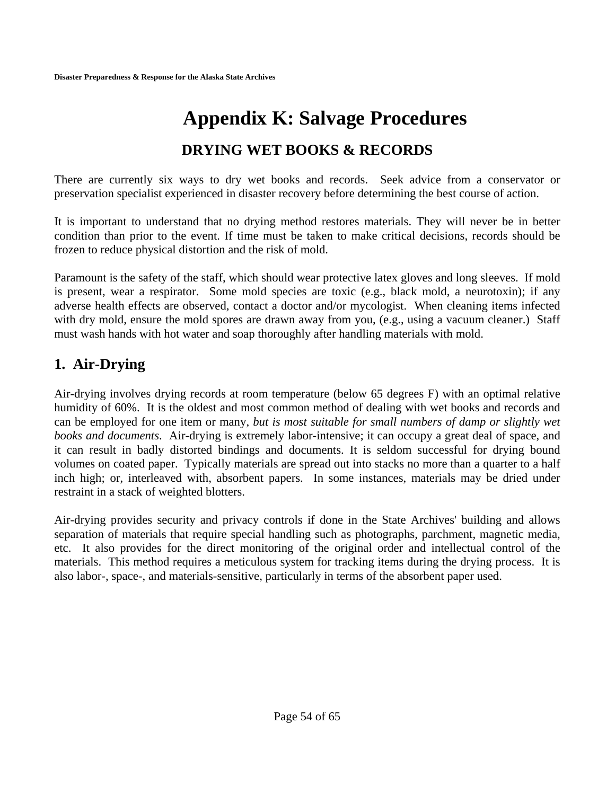# **Appendix K: Salvage Procedures DRYING WET BOOKS & RECORDS**

There are currently six ways to dry wet books and records. Seek advice from a conservator or preservation specialist experienced in disaster recovery before determining the best course of action.

It is important to understand that no drying method restores materials. They will never be in better condition than prior to the event. If time must be taken to make critical decisions, records should be frozen to reduce physical distortion and the risk of mold.

Paramount is the safety of the staff, which should wear protective latex gloves and long sleeves. If mold is present, wear a respirator. Some mold species are toxic (e.g., black mold, a neurotoxin); if any adverse health effects are observed, contact a doctor and/or mycologist. When cleaning items infected with dry mold, ensure the mold spores are drawn away from you, (e.g., using a vacuum cleaner.) Staff must wash hands with hot water and soap thoroughly after handling materials with mold.

### **1. Air-Drying**

Air-drying involves drying records at room temperature (below 65 degrees F) with an optimal relative humidity of 60%. It is the oldest and most common method of dealing with wet books and records and can be employed for one item or many, *but is most suitable for small numbers of damp or slightly wet books and documents*. Air-drying is extremely labor-intensive; it can occupy a great deal of space, and it can result in badly distorted bindings and documents. It is seldom successful for drying bound volumes on coated paper. Typically materials are spread out into stacks no more than a quarter to a half inch high; or, interleaved with, absorbent papers. In some instances, materials may be dried under restraint in a stack of weighted blotters.

Air-drying provides security and privacy controls if done in the State Archives' building and allows separation of materials that require special handling such as photographs, parchment, magnetic media, etc. It also provides for the direct monitoring of the original order and intellectual control of the materials. This method requires a meticulous system for tracking items during the drying process. It is also labor-, space-, and materials-sensitive, particularly in terms of the absorbent paper used.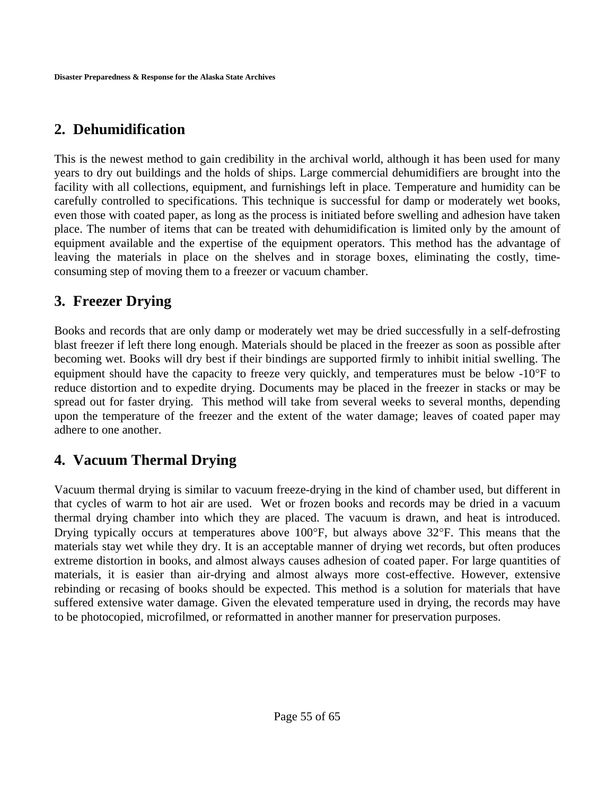### **2. Dehumidification**

This is the newest method to gain credibility in the archival world, although it has been used for many years to dry out buildings and the holds of ships. Large commercial dehumidifiers are brought into the facility with all collections, equipment, and furnishings left in place. Temperature and humidity can be carefully controlled to specifications. This technique is successful for damp or moderately wet books, even those with coated paper, as long as the process is initiated before swelling and adhesion have taken place. The number of items that can be treated with dehumidification is limited only by the amount of equipment available and the expertise of the equipment operators. This method has the advantage of leaving the materials in place on the shelves and in storage boxes, eliminating the costly, timeconsuming step of moving them to a freezer or vacuum chamber.

### **3. Freezer Drying**

Books and records that are only damp or moderately wet may be dried successfully in a self-defrosting blast freezer if left there long enough. Materials should be placed in the freezer as soon as possible after becoming wet. Books will dry best if their bindings are supported firmly to inhibit initial swelling. The equipment should have the capacity to freeze very quickly, and temperatures must be below -10°F to reduce distortion and to expedite drying. Documents may be placed in the freezer in stacks or may be spread out for faster drying. This method will take from several weeks to several months, depending upon the temperature of the freezer and the extent of the water damage; leaves of coated paper may adhere to one another.

### **4. Vacuum Thermal Drying**

Vacuum thermal drying is similar to vacuum freeze-drying in the kind of chamber used, but different in that cycles of warm to hot air are used. Wet or frozen books and records may be dried in a vacuum thermal drying chamber into which they are placed. The vacuum is drawn, and heat is introduced. Drying typically occurs at temperatures above 100°F, but always above 32°F. This means that the materials stay wet while they dry. It is an acceptable manner of drying wet records, but often produces extreme distortion in books, and almost always causes adhesion of coated paper. For large quantities of materials, it is easier than air-drying and almost always more cost-effective. However, extensive rebinding or recasing of books should be expected. This method is a solution for materials that have suffered extensive water damage. Given the elevated temperature used in drying, the records may have to be photocopied, microfilmed, or reformatted in another manner for preservation purposes.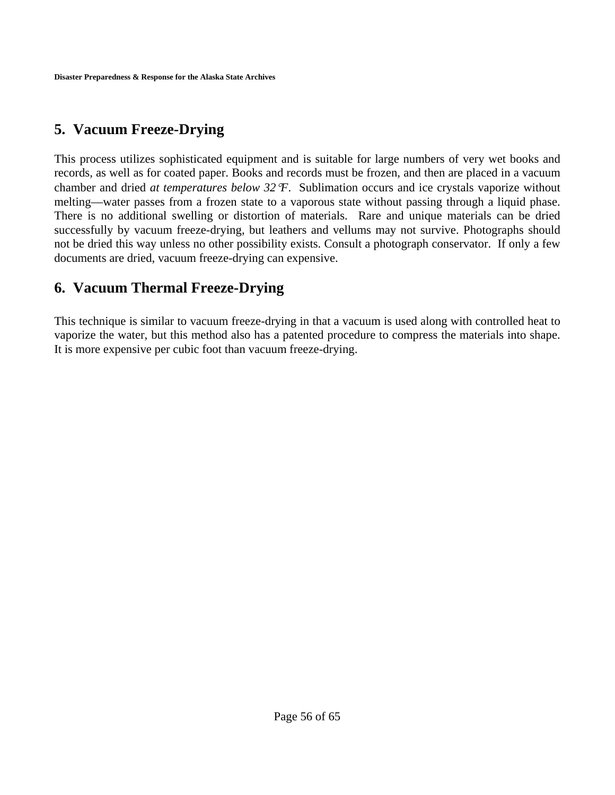### **5. Vacuum Freeze-Drying**

This process utilizes sophisticated equipment and is suitable for large numbers of very wet books and records, as well as for coated paper. Books and records must be frozen, and then are placed in a vacuum chamber and dried *at temperatures below 32*°*F*. Sublimation occurs and ice crystals vaporize without melting—water passes from a frozen state to a vaporous state without passing through a liquid phase. There is no additional swelling or distortion of materials. Rare and unique materials can be dried successfully by vacuum freeze-drying, but leathers and vellums may not survive. Photographs should not be dried this way unless no other possibility exists. Consult a photograph conservator. If only a few documents are dried, vacuum freeze-drying can expensive.

### **6. Vacuum Thermal Freeze-Drying**

This technique is similar to vacuum freeze-drying in that a vacuum is used along with controlled heat to vaporize the water, but this method also has a patented procedure to compress the materials into shape. It is more expensive per cubic foot than vacuum freeze-drying.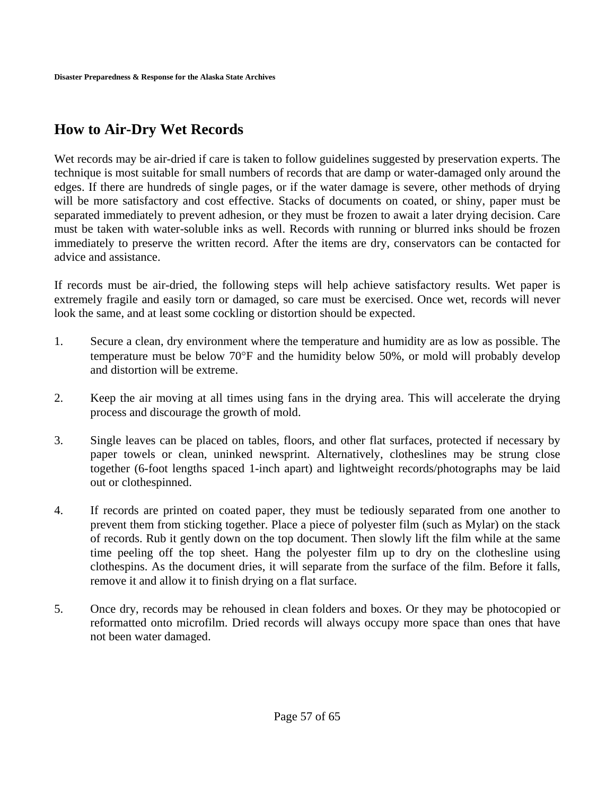### **How to Air-Dry Wet Records**

Wet records may be air-dried if care is taken to follow guidelines suggested by preservation experts. The technique is most suitable for small numbers of records that are damp or water-damaged only around the edges. If there are hundreds of single pages, or if the water damage is severe, other methods of drying will be more satisfactory and cost effective. Stacks of documents on coated, or shiny, paper must be separated immediately to prevent adhesion, or they must be frozen to await a later drying decision. Care must be taken with water-soluble inks as well. Records with running or blurred inks should be frozen immediately to preserve the written record. After the items are dry, conservators can be contacted for advice and assistance.

If records must be air-dried, the following steps will help achieve satisfactory results. Wet paper is extremely fragile and easily torn or damaged, so care must be exercised. Once wet, records will never look the same, and at least some cockling or distortion should be expected.

- 1. Secure a clean, dry environment where the temperature and humidity are as low as possible. The temperature must be below 70°F and the humidity below 50%, or mold will probably develop and distortion will be extreme.
- 2. Keep the air moving at all times using fans in the drying area. This will accelerate the drying process and discourage the growth of mold.
- 3. Single leaves can be placed on tables, floors, and other flat surfaces, protected if necessary by paper towels or clean, uninked newsprint. Alternatively, clotheslines may be strung close together (6-foot lengths spaced 1-inch apart) and lightweight records/photographs may be laid out or clothespinned.
- 4. If records are printed on coated paper, they must be tediously separated from one another to prevent them from sticking together. Place a piece of polyester film (such as Mylar) on the stack of records. Rub it gently down on the top document. Then slowly lift the film while at the same time peeling off the top sheet. Hang the polyester film up to dry on the clothesline using clothespins. As the document dries, it will separate from the surface of the film. Before it falls, remove it and allow it to finish drying on a flat surface.
- 5. Once dry, records may be rehoused in clean folders and boxes. Or they may be photocopied or reformatted onto microfilm. Dried records will always occupy more space than ones that have not been water damaged.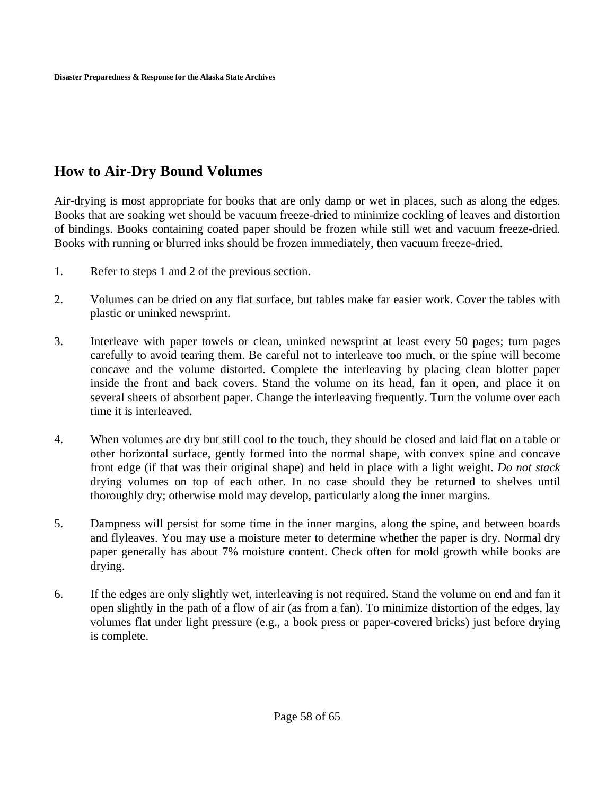### **How to Air-Dry Bound Volumes**

Air-drying is most appropriate for books that are only damp or wet in places, such as along the edges. Books that are soaking wet should be vacuum freeze-dried to minimize cockling of leaves and distortion of bindings. Books containing coated paper should be frozen while still wet and vacuum freeze-dried. Books with running or blurred inks should be frozen immediately, then vacuum freeze-dried.

- 1. Refer to steps 1 and 2 of the previous section.
- 2. Volumes can be dried on any flat surface, but tables make far easier work. Cover the tables with plastic or uninked newsprint.
- 3. Interleave with paper towels or clean, uninked newsprint at least every 50 pages; turn pages carefully to avoid tearing them. Be careful not to interleave too much, or the spine will become concave and the volume distorted. Complete the interleaving by placing clean blotter paper inside the front and back covers. Stand the volume on its head, fan it open, and place it on several sheets of absorbent paper. Change the interleaving frequently. Turn the volume over each time it is interleaved.
- 4. When volumes are dry but still cool to the touch, they should be closed and laid flat on a table or other horizontal surface, gently formed into the normal shape, with convex spine and concave front edge (if that was their original shape) and held in place with a light weight. *Do not stack* drying volumes on top of each other. In no case should they be returned to shelves until thoroughly dry; otherwise mold may develop, particularly along the inner margins.
- 5. Dampness will persist for some time in the inner margins, along the spine, and between boards and flyleaves. You may use a moisture meter to determine whether the paper is dry. Normal dry paper generally has about 7% moisture content. Check often for mold growth while books are drying.
- 6. If the edges are only slightly wet, interleaving is not required. Stand the volume on end and fan it open slightly in the path of a flow of air (as from a fan). To minimize distortion of the edges, lay volumes flat under light pressure (e.g., a book press or paper-covered bricks) just before drying is complete.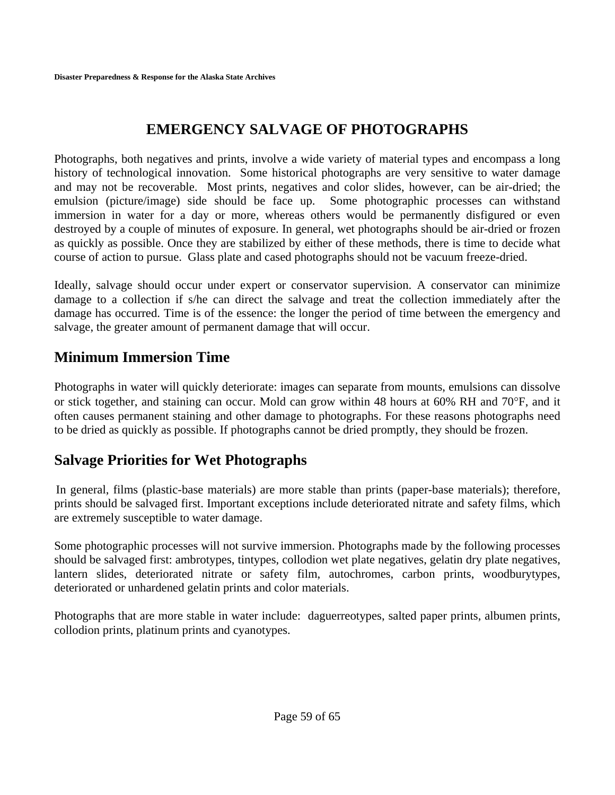## **EMERGENCY SALVAGE OF PHOTOGRAPHS**

Photographs, both negatives and prints, involve a wide variety of material types and encompass a long history of technological innovation. Some historical photographs are very sensitive to water damage and may not be recoverable. Most prints, negatives and color slides, however, can be air-dried; the emulsion (picture/image) side should be face up. Some photographic processes can withstand immersion in water for a day or more, whereas others would be permanently disfigured or even destroyed by a couple of minutes of exposure. In general, wet photographs should be air-dried or frozen as quickly as possible. Once they are stabilized by either of these methods, there is time to decide what course of action to pursue. Glass plate and cased photographs should not be vacuum freeze-dried.

Ideally, salvage should occur under expert or conservator supervision. A conservator can minimize damage to a collection if s/he can direct the salvage and treat the collection immediately after the damage has occurred. Time is of the essence: the longer the period of time between the emergency and salvage, the greater amount of permanent damage that will occur.

### **Minimum Immersion Time**

Photographs in water will quickly deteriorate: images can separate from mounts, emulsions can dissolve or stick together, and staining can occur. Mold can grow within 48 hours at 60% RH and 70°F, and it often causes permanent staining and other damage to photographs. For these reasons photographs need to be dried as quickly as possible. If photographs cannot be dried promptly, they should be frozen.

## **Salvage Priorities for Wet Photographs**

 In general, films (plastic-base materials) are more stable than prints (paper-base materials); therefore, prints should be salvaged first. Important exceptions include deteriorated nitrate and safety films, which are extremely susceptible to water damage.

Some photographic processes will not survive immersion. Photographs made by the following processes should be salvaged first: ambrotypes, tintypes, collodion wet plate negatives, gelatin dry plate negatives, lantern slides, deteriorated nitrate or safety film, autochromes, carbon prints, woodburytypes, deteriorated or unhardened gelatin prints and color materials.

Photographs that are more stable in water include: daguerreotypes, salted paper prints, albumen prints, collodion prints, platinum prints and cyanotypes.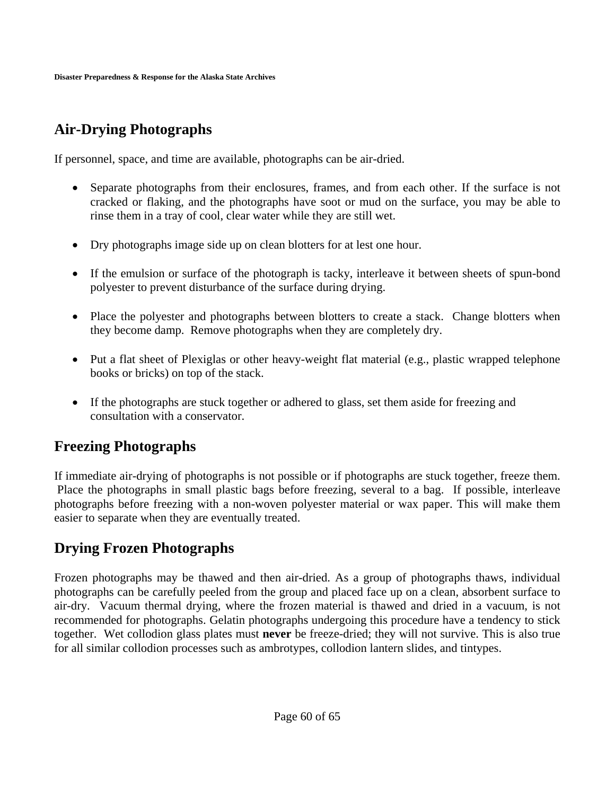## **Air-Drying Photographs**

If personnel, space, and time are available, photographs can be air-dried.

- Separate photographs from their enclosures, frames, and from each other. If the surface is not cracked or flaking, and the photographs have soot or mud on the surface, you may be able to rinse them in a tray of cool, clear water while they are still wet.
- Dry photographs image side up on clean blotters for at lest one hour.
- If the emulsion or surface of the photograph is tacky, interleave it between sheets of spun-bond polyester to prevent disturbance of the surface during drying.
- Place the polyester and photographs between blotters to create a stack. Change blotters when they become damp. Remove photographs when they are completely dry.
- Put a flat sheet of Plexiglas or other heavy-weight flat material (e.g., plastic wrapped telephone books or bricks) on top of the stack.
- If the photographs are stuck together or adhered to glass, set them aside for freezing and consultation with a conservator.

### **Freezing Photographs**

If immediate air-drying of photographs is not possible or if photographs are stuck together, freeze them. Place the photographs in small plastic bags before freezing, several to a bag. If possible, interleave photographs before freezing with a non-woven polyester material or wax paper. This will make them easier to separate when they are eventually treated.

### **Drying Frozen Photographs**

Frozen photographs may be thawed and then air-dried. As a group of photographs thaws, individual photographs can be carefully peeled from the group and placed face up on a clean, absorbent surface to air-dry. Vacuum thermal drying, where the frozen material is thawed and dried in a vacuum, is not recommended for photographs. Gelatin photographs undergoing this procedure have a tendency to stick together. Wet collodion glass plates must **never** be freeze-dried; they will not survive. This is also true for all similar collodion processes such as ambrotypes, collodion lantern slides, and tintypes.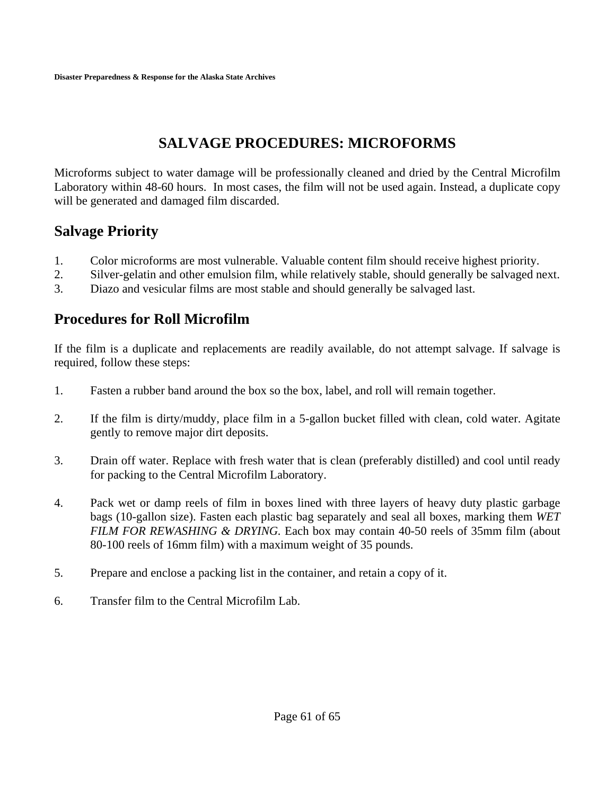## **SALVAGE PROCEDURES: MICROFORMS**

Microforms subject to water damage will be professionally cleaned and dried by the Central Microfilm Laboratory within 48-60 hours. In most cases, the film will not be used again. Instead, a duplicate copy will be generated and damaged film discarded.

### **Salvage Priority**

- 1. Color microforms are most vulnerable. Valuable content film should receive highest priority.
- 2. Silver-gelatin and other emulsion film, while relatively stable, should generally be salvaged next.
- 3. Diazo and vesicular films are most stable and should generally be salvaged last.

### **Procedures for Roll Microfilm**

If the film is a duplicate and replacements are readily available, do not attempt salvage. If salvage is required, follow these steps:

- 1. Fasten a rubber band around the box so the box, label, and roll will remain together.
- 2. If the film is dirty/muddy, place film in a 5-gallon bucket filled with clean, cold water. Agitate gently to remove major dirt deposits.
- 3. Drain off water. Replace with fresh water that is clean (preferably distilled) and cool until ready for packing to the Central Microfilm Laboratory.
- 4. Pack wet or damp reels of film in boxes lined with three layers of heavy duty plastic garbage bags (10-gallon size). Fasten each plastic bag separately and seal all boxes, marking them *WET FILM FOR REWASHING & DRYING.* Each box may contain 40-50 reels of 35mm film (about 80-100 reels of 16mm film) with a maximum weight of 35 pounds.
- 5. Prepare and enclose a packing list in the container, and retain a copy of it.
- 6. Transfer film to the Central Microfilm Lab.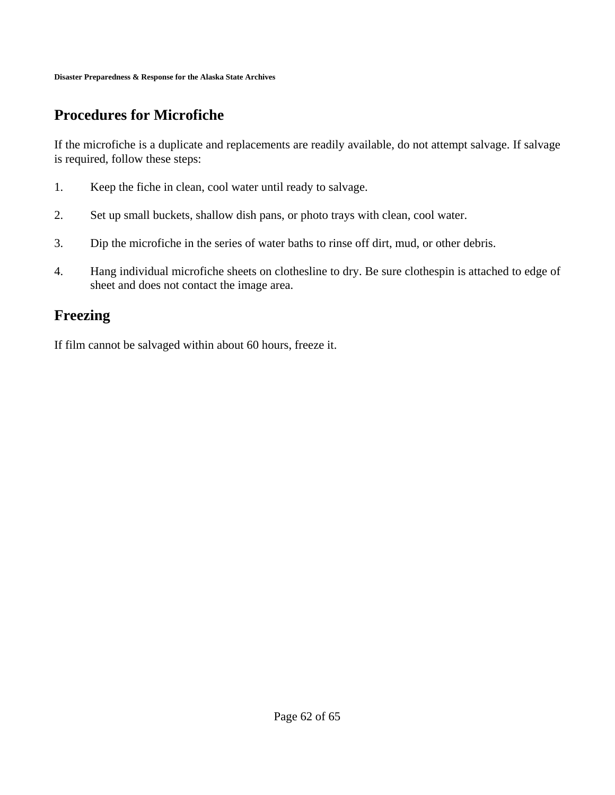## **Procedures for Microfiche**

If the microfiche is a duplicate and replacements are readily available, do not attempt salvage. If salvage is required, follow these steps:

- 1. Keep the fiche in clean, cool water until ready to salvage.
- 2. Set up small buckets, shallow dish pans, or photo trays with clean, cool water.
- 3. Dip the microfiche in the series of water baths to rinse off dirt, mud, or other debris.
- 4. Hang individual microfiche sheets on clothesline to dry. Be sure clothespin is attached to edge of sheet and does not contact the image area.

### **Freezing**

If film cannot be salvaged within about 60 hours, freeze it.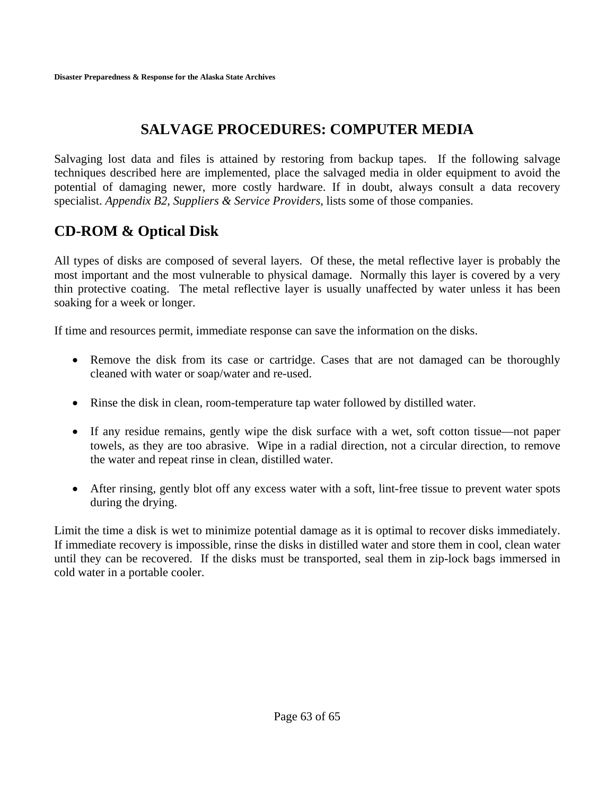## **SALVAGE PROCEDURES: COMPUTER MEDIA**

Salvaging lost data and files is attained by restoring from backup tapes. If the following salvage techniques described here are implemented, place the salvaged media in older equipment to avoid the potential of damaging newer, more costly hardware. If in doubt, always consult a data recovery specialist. *Appendix B2, Suppliers & Service Providers*, lists some of those companies.

## **CD-ROM & Optical Disk**

All types of disks are composed of several layers. Of these, the metal reflective layer is probably the most important and the most vulnerable to physical damage. Normally this layer is covered by a very thin protective coating. The metal reflective layer is usually unaffected by water unless it has been soaking for a week or longer.

If time and resources permit, immediate response can save the information on the disks.

- Remove the disk from its case or cartridge. Cases that are not damaged can be thoroughly cleaned with water or soap/water and re-used.
- Rinse the disk in clean, room-temperature tap water followed by distilled water.
- If any residue remains, gently wipe the disk surface with a wet, soft cotton tissue—not paper towels, as they are too abrasive. Wipe in a radial direction, not a circular direction, to remove the water and repeat rinse in clean, distilled water.
- After rinsing, gently blot off any excess water with a soft, lint-free tissue to prevent water spots during the drying.

Limit the time a disk is wet to minimize potential damage as it is optimal to recover disks immediately. If immediate recovery is impossible, rinse the disks in distilled water and store them in cool, clean water until they can be recovered. If the disks must be transported, seal them in zip-lock bags immersed in cold water in a portable cooler.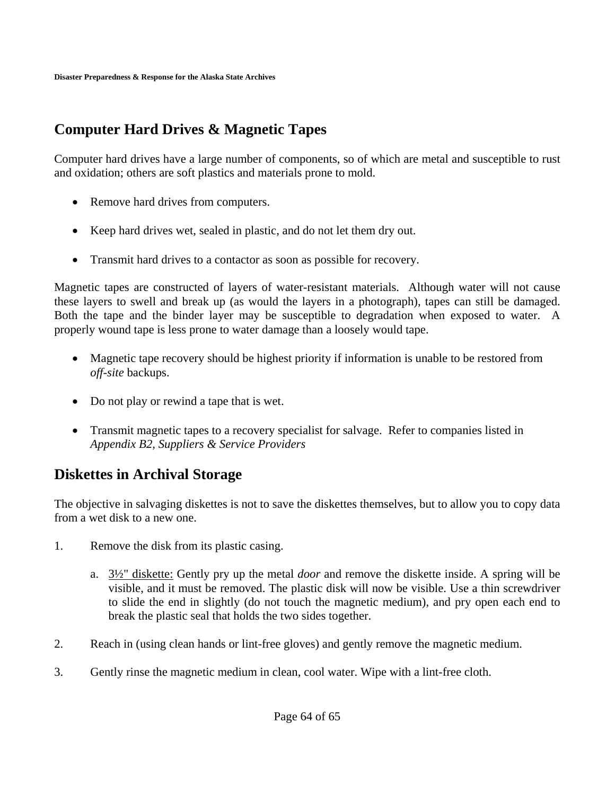## **Computer Hard Drives & Magnetic Tapes**

Computer hard drives have a large number of components, so of which are metal and susceptible to rust and oxidation; others are soft plastics and materials prone to mold.

- Remove hard drives from computers.
- Keep hard drives wet, sealed in plastic, and do not let them dry out.
- Transmit hard drives to a contactor as soon as possible for recovery.

Magnetic tapes are constructed of layers of water-resistant materials. Although water will not cause these layers to swell and break up (as would the layers in a photograph), tapes can still be damaged. Both the tape and the binder layer may be susceptible to degradation when exposed to water. A properly wound tape is less prone to water damage than a loosely would tape.

- Magnetic tape recovery should be highest priority if information is unable to be restored from *off-site* backups.
- Do not play or rewind a tape that is wet.
- Transmit magnetic tapes to a recovery specialist for salvage. Refer to companies listed in *Appendix B2, Suppliers & Service Providers*

## **Diskettes in Archival Storage**

The objective in salvaging diskettes is not to save the diskettes themselves, but to allow you to copy data from a wet disk to a new one.

- 1. Remove the disk from its plastic casing.
	- a. 3½" diskette: Gently pry up the metal *door* and remove the diskette inside. A spring will be visible, and it must be removed. The plastic disk will now be visible. Use a thin screwdriver to slide the end in slightly (do not touch the magnetic medium), and pry open each end to break the plastic seal that holds the two sides together.
- 2. Reach in (using clean hands or lint-free gloves) and gently remove the magnetic medium.
- 3. Gently rinse the magnetic medium in clean, cool water. Wipe with a lint-free cloth.